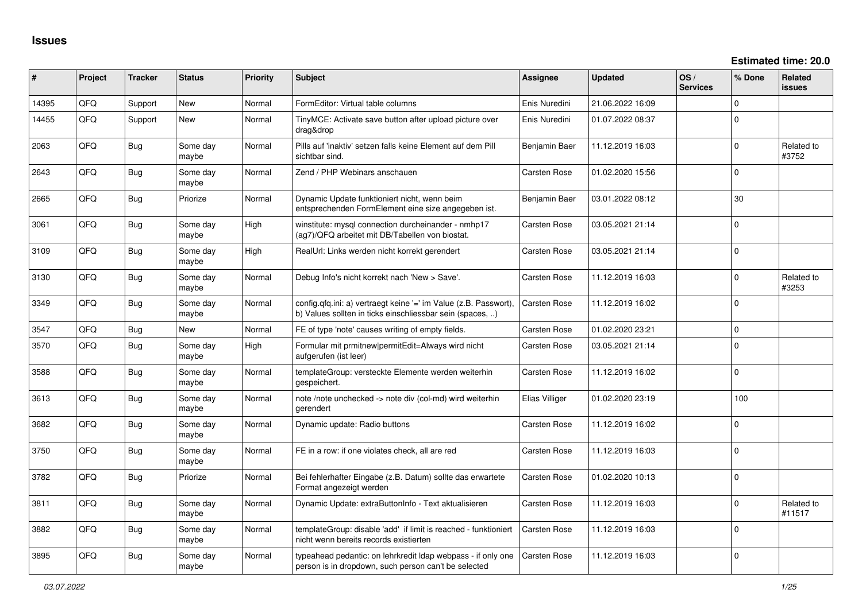| $\sharp$ | Project | <b>Tracker</b> | <b>Status</b>     | <b>Priority</b> | <b>Subject</b>                                                                                                                | <b>Assignee</b>     | <b>Updated</b>   | OS/<br><b>Services</b> | % Done      | Related<br><b>issues</b> |
|----------|---------|----------------|-------------------|-----------------|-------------------------------------------------------------------------------------------------------------------------------|---------------------|------------------|------------------------|-------------|--------------------------|
| 14395    | QFQ     | Support        | <b>New</b>        | Normal          | FormEditor: Virtual table columns                                                                                             | Enis Nuredini       | 21.06.2022 16:09 |                        | $\mathbf 0$ |                          |
| 14455    | QFQ     | Support        | <b>New</b>        | Normal          | TinyMCE: Activate save button after upload picture over<br>drag&drop                                                          | Enis Nuredini       | 01.07.2022 08:37 |                        | $\Omega$    |                          |
| 2063     | QFQ     | Bug            | Some day<br>maybe | Normal          | Pills auf 'inaktiv' setzen falls keine Element auf dem Pill<br>sichtbar sind.                                                 | Benjamin Baer       | 11.12.2019 16:03 |                        | $\Omega$    | Related to<br>#3752      |
| 2643     | QFQ     | Bug            | Some day<br>maybe | Normal          | Zend / PHP Webinars anschauen                                                                                                 | <b>Carsten Rose</b> | 01.02.2020 15:56 |                        | $\mathbf 0$ |                          |
| 2665     | QFQ     | Bug            | Priorize          | Normal          | Dynamic Update funktioniert nicht, wenn beim<br>entsprechenden FormElement eine size angegeben ist.                           | Benjamin Baer       | 03.01.2022 08:12 |                        | 30          |                          |
| 3061     | QFQ     | Bug            | Some day<br>maybe | High            | winstitute: mysql connection durcheinander - nmhp17<br>(ag7)/QFQ arbeitet mit DB/Tabellen von biostat.                        | Carsten Rose        | 03.05.2021 21:14 |                        | $\Omega$    |                          |
| 3109     | QFQ     | Bug            | Some day<br>maybe | High            | RealUrl: Links werden nicht korrekt gerendert                                                                                 | Carsten Rose        | 03.05.2021 21:14 |                        | $\Omega$    |                          |
| 3130     | QFQ     | Bug            | Some day<br>maybe | Normal          | Debug Info's nicht korrekt nach 'New > Save'.                                                                                 | <b>Carsten Rose</b> | 11.12.2019 16:03 |                        | $\Omega$    | Related to<br>#3253      |
| 3349     | QFQ     | <b>Bug</b>     | Some day<br>maybe | Normal          | config.qfq.ini: a) vertraegt keine '=' im Value (z.B. Passwort).<br>b) Values sollten in ticks einschliessbar sein (spaces, ) | <b>Carsten Rose</b> | 11.12.2019 16:02 |                        | $\Omega$    |                          |
| 3547     | QFQ     | Bug            | <b>New</b>        | Normal          | FE of type 'note' causes writing of empty fields.                                                                             | Carsten Rose        | 01.02.2020 23:21 |                        | $\mathbf 0$ |                          |
| 3570     | QFQ     | Bug            | Some day<br>maybe | High            | Formular mit prmitnew permitEdit=Always wird nicht<br>aufgerufen (ist leer)                                                   | Carsten Rose        | 03.05.2021 21:14 |                        | $\Omega$    |                          |
| 3588     | QFQ     | Bug            | Some day<br>maybe | Normal          | templateGroup: versteckte Elemente werden weiterhin<br>gespeichert.                                                           | Carsten Rose        | 11.12.2019 16:02 |                        | $\Omega$    |                          |
| 3613     | QFQ     | Bug            | Some day<br>maybe | Normal          | note /note unchecked -> note div (col-md) wird weiterhin<br>gerendert                                                         | Elias Villiger      | 01.02.2020 23:19 |                        | 100         |                          |
| 3682     | QFQ     | Bug            | Some day<br>maybe | Normal          | Dynamic update: Radio buttons                                                                                                 | <b>Carsten Rose</b> | 11.12.2019 16:02 |                        | $\Omega$    |                          |
| 3750     | QFQ     | <b>Bug</b>     | Some day<br>maybe | Normal          | FE in a row: if one violates check, all are red                                                                               | Carsten Rose        | 11.12.2019 16:03 |                        | $\mathbf 0$ |                          |
| 3782     | QFQ     | Bug            | Priorize          | Normal          | Bei fehlerhafter Eingabe (z.B. Datum) sollte das erwartete<br>Format angezeigt werden                                         | Carsten Rose        | 01.02.2020 10:13 |                        | $\mathbf 0$ |                          |
| 3811     | QFQ     | <b>Bug</b>     | Some day<br>maybe | Normal          | Dynamic Update: extraButtonInfo - Text aktualisieren                                                                          | Carsten Rose        | 11.12.2019 16:03 |                        | 0           | Related to<br>#11517     |
| 3882     | QFQ     | Bug            | Some day<br>maybe | Normal          | templateGroup: disable 'add' if limit is reached - funktioniert<br>nicht wenn bereits records existierten                     | <b>Carsten Rose</b> | 11.12.2019 16:03 |                        | $\Omega$    |                          |
| 3895     | QFQ     | Bug            | Some day<br>maybe | Normal          | typeahead pedantic: on lehrkredit ldap webpass - if only one<br>person is in dropdown, such person can't be selected          | <b>Carsten Rose</b> | 11.12.2019 16:03 |                        | $\Omega$    |                          |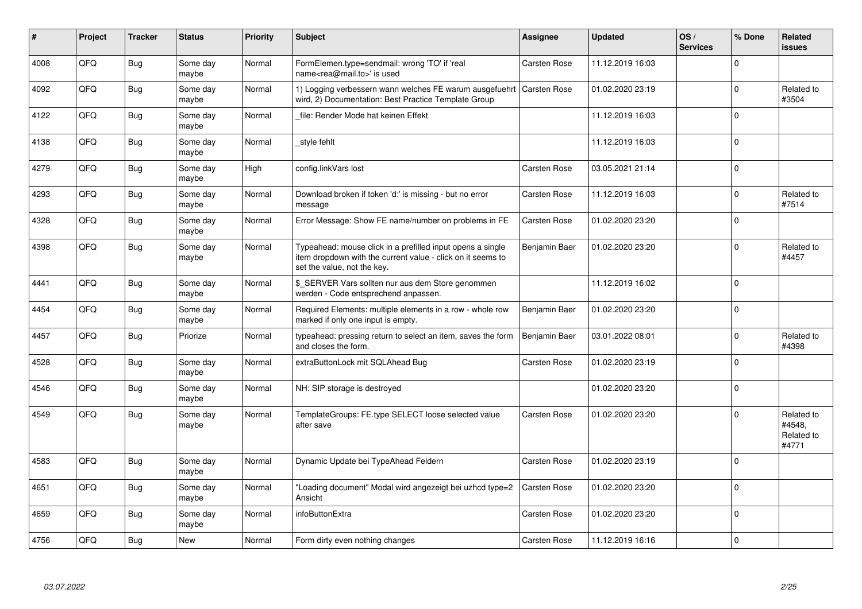| ∦    | Project | <b>Tracker</b> | <b>Status</b>     | <b>Priority</b> | <b>Subject</b>                                                                                                                                           | Assignee            | <b>Updated</b>   | OS/<br><b>Services</b> | % Done   | Related<br><b>issues</b>                    |
|------|---------|----------------|-------------------|-----------------|----------------------------------------------------------------------------------------------------------------------------------------------------------|---------------------|------------------|------------------------|----------|---------------------------------------------|
| 4008 | QFQ     | <b>Bug</b>     | Some day<br>maybe | Normal          | FormElemen.type=sendmail: wrong 'TO' if 'real<br>name <rea@mail.to>' is used</rea@mail.to>                                                               | Carsten Rose        | 11.12.2019 16:03 |                        | $\Omega$ |                                             |
| 4092 | QFQ     | <b>Bug</b>     | Some day<br>maybe | Normal          | 1) Logging verbessern wann welches FE warum ausgefuehrt<br>wird, 2) Documentation: Best Practice Template Group                                          | <b>Carsten Rose</b> | 01.02.2020 23:19 |                        | $\Omega$ | Related to<br>#3504                         |
| 4122 | QFQ     | <b>Bug</b>     | Some day<br>maybe | Normal          | file: Render Mode hat keinen Effekt                                                                                                                      |                     | 11.12.2019 16:03 |                        | $\Omega$ |                                             |
| 4138 | QFQ     | <b>Bug</b>     | Some day<br>maybe | Normal          | style fehlt                                                                                                                                              |                     | 11.12.2019 16:03 |                        | $\Omega$ |                                             |
| 4279 | QFQ     | <b>Bug</b>     | Some day<br>maybe | High            | config.linkVars lost                                                                                                                                     | <b>Carsten Rose</b> | 03.05.2021 21:14 |                        | $\Omega$ |                                             |
| 4293 | QFQ     | <b>Bug</b>     | Some day<br>maybe | Normal          | Download broken if token 'd:' is missing - but no error<br>message                                                                                       | <b>Carsten Rose</b> | 11.12.2019 16:03 |                        | $\Omega$ | Related to<br>#7514                         |
| 4328 | QFQ     | Bug            | Some day<br>maybe | Normal          | Error Message: Show FE name/number on problems in FE                                                                                                     | Carsten Rose        | 01.02.2020 23:20 |                        | $\Omega$ |                                             |
| 4398 | QFQ     | <b>Bug</b>     | Some day<br>maybe | Normal          | Typeahead: mouse click in a prefilled input opens a single<br>item dropdown with the current value - click on it seems to<br>set the value, not the key. | Benjamin Baer       | 01.02.2020 23:20 |                        | $\Omega$ | Related to<br>#4457                         |
| 4441 | QFQ     | Bug            | Some day<br>maybe | Normal          | \$ SERVER Vars sollten nur aus dem Store genommen<br>werden - Code entsprechend anpassen.                                                                |                     | 11.12.2019 16:02 |                        | $\Omega$ |                                             |
| 4454 | QFQ     | <b>Bug</b>     | Some day<br>maybe | Normal          | Required Elements: multiple elements in a row - whole row<br>marked if only one input is empty.                                                          | Benjamin Baer       | 01.02.2020 23:20 |                        | $\Omega$ |                                             |
| 4457 | QFQ     | <b>Bug</b>     | Priorize          | Normal          | typeahead: pressing return to select an item, saves the form<br>and closes the form.                                                                     | Benjamin Baer       | 03.01.2022 08:01 |                        | $\Omega$ | Related to<br>#4398                         |
| 4528 | QFQ     | <b>Bug</b>     | Some day<br>maybe | Normal          | extraButtonLock mit SQLAhead Bug                                                                                                                         | Carsten Rose        | 01.02.2020 23:19 |                        | $\Omega$ |                                             |
| 4546 | QFQ     | <b>Bug</b>     | Some day<br>maybe | Normal          | NH: SIP storage is destroyed                                                                                                                             |                     | 01.02.2020 23:20 |                        | $\Omega$ |                                             |
| 4549 | QFQ     | Bug            | Some day<br>maybe | Normal          | TemplateGroups: FE.type SELECT loose selected value<br>after save                                                                                        | Carsten Rose        | 01.02.2020 23:20 |                        | $\Omega$ | Related to<br>#4548.<br>Related to<br>#4771 |
| 4583 | QFQ     | Bug            | Some day<br>maybe | Normal          | Dynamic Update bei TypeAhead Feldern                                                                                                                     | <b>Carsten Rose</b> | 01.02.2020 23:19 |                        | $\Omega$ |                                             |
| 4651 | QFQ     | Bug            | Some day<br>maybe | Normal          | "Loading document" Modal wird angezeigt bei uzhcd type=2<br>Ansicht                                                                                      | <b>Carsten Rose</b> | 01.02.2020 23:20 |                        | $\Omega$ |                                             |
| 4659 | QFQ     | Bug            | Some day<br>maybe | Normal          | infoButtonExtra                                                                                                                                          | <b>Carsten Rose</b> | 01.02.2020 23:20 |                        | $\Omega$ |                                             |
| 4756 | QFQ     | Bug            | <b>New</b>        | Normal          | Form dirty even nothing changes                                                                                                                          | <b>Carsten Rose</b> | 11.12.2019 16:16 |                        | $\Omega$ |                                             |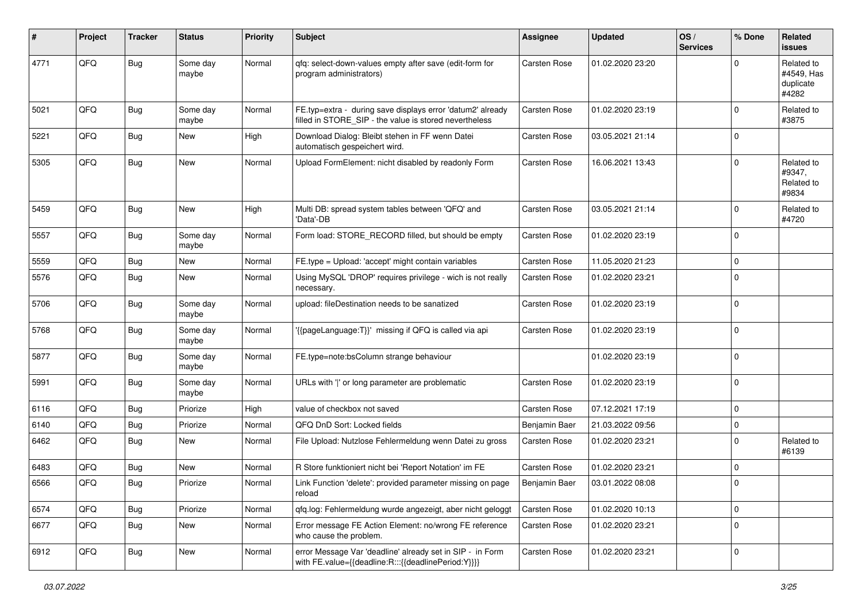| #    | Project | <b>Tracker</b> | <b>Status</b>     | <b>Priority</b> | Subject                                                                                                              | <b>Assignee</b>     | <b>Updated</b>   | OS/<br><b>Services</b> | % Done      | Related<br><b>issues</b>                       |
|------|---------|----------------|-------------------|-----------------|----------------------------------------------------------------------------------------------------------------------|---------------------|------------------|------------------------|-------------|------------------------------------------------|
| 4771 | QFQ     | Bug            | Some day<br>maybe | Normal          | qfq: select-down-values empty after save (edit-form for<br>program administrators)                                   | Carsten Rose        | 01.02.2020 23:20 |                        | $\Omega$    | Related to<br>#4549, Has<br>duplicate<br>#4282 |
| 5021 | QFQ     | <b>Bug</b>     | Some day<br>maybe | Normal          | FE.typ=extra - during save displays error 'datum2' already<br>filled in STORE_SIP - the value is stored nevertheless | <b>Carsten Rose</b> | 01.02.2020 23:19 |                        | $\mathbf 0$ | Related to<br>#3875                            |
| 5221 | QFQ     | <b>Bug</b>     | New               | High            | Download Dialog: Bleibt stehen in FF wenn Datei<br>automatisch gespeichert wird.                                     | <b>Carsten Rose</b> | 03.05.2021 21:14 |                        | $\mathbf 0$ |                                                |
| 5305 | QFQ     | Bug            | New               | Normal          | Upload FormElement: nicht disabled by readonly Form                                                                  | Carsten Rose        | 16.06.2021 13:43 |                        | $\mathbf 0$ | Related to<br>#9347,<br>Related to<br>#9834    |
| 5459 | QFQ     | Bug            | New               | High            | Multi DB: spread system tables between 'QFQ' and<br>'Data'-DB                                                        | Carsten Rose        | 03.05.2021 21:14 |                        | $\mathbf 0$ | Related to<br>#4720                            |
| 5557 | QFQ     | <b>Bug</b>     | Some day<br>maybe | Normal          | Form load: STORE_RECORD filled, but should be empty                                                                  | <b>Carsten Rose</b> | 01.02.2020 23:19 |                        | 0           |                                                |
| 5559 | QFQ     | Bug            | New               | Normal          | FE.type = Upload: 'accept' might contain variables                                                                   | <b>Carsten Rose</b> | 11.05.2020 21:23 |                        | $\pmb{0}$   |                                                |
| 5576 | QFQ     | <b>Bug</b>     | New               | Normal          | Using MySQL 'DROP' requires privilege - wich is not really<br>necessary.                                             | Carsten Rose        | 01.02.2020 23:21 |                        | $\Omega$    |                                                |
| 5706 | QFQ     | <b>Bug</b>     | Some day<br>maybe | Normal          | upload: fileDestination needs to be sanatized                                                                        | <b>Carsten Rose</b> | 01.02.2020 23:19 |                        | $\mathbf 0$ |                                                |
| 5768 | QFQ     | <b>Bug</b>     | Some day<br>maybe | Normal          | '{{pageLanguage:T}}' missing if QFQ is called via api                                                                | <b>Carsten Rose</b> | 01.02.2020 23:19 |                        | $\mathbf 0$ |                                                |
| 5877 | QFQ     | Bug            | Some day<br>maybe | Normal          | FE.type=note:bsColumn strange behaviour                                                                              |                     | 01.02.2020 23:19 |                        | $\pmb{0}$   |                                                |
| 5991 | QFQ     | <b>Bug</b>     | Some day<br>maybe | Normal          | URLs with ' ' or long parameter are problematic                                                                      | Carsten Rose        | 01.02.2020 23:19 |                        | $\pmb{0}$   |                                                |
| 6116 | QFQ     | Bug            | Priorize          | High            | value of checkbox not saved                                                                                          | Carsten Rose        | 07.12.2021 17:19 |                        | $\pmb{0}$   |                                                |
| 6140 | QFQ     | Bug            | Priorize          | Normal          | QFQ DnD Sort: Locked fields                                                                                          | Benjamin Baer       | 21.03.2022 09:56 |                        | $\pmb{0}$   |                                                |
| 6462 | QFQ     | <b>Bug</b>     | New               | Normal          | File Upload: Nutzlose Fehlermeldung wenn Datei zu gross                                                              | Carsten Rose        | 01.02.2020 23:21 |                        | 0           | Related to<br>#6139                            |
| 6483 | QFQ     | Bug            | New               | Normal          | R Store funktioniert nicht bei 'Report Notation' im FE                                                               | <b>Carsten Rose</b> | 01.02.2020 23:21 |                        | $\pmb{0}$   |                                                |
| 6566 | QFQ     | Bug            | Priorize          | Normal          | Link Function 'delete': provided parameter missing on page<br>reload                                                 | Benjamin Baer       | 03.01.2022 08:08 |                        | $\Omega$    |                                                |
| 6574 | QFQ     | Bug            | Priorize          | Normal          | qfq.log: Fehlermeldung wurde angezeigt, aber nicht geloggt                                                           | Carsten Rose        | 01.02.2020 10:13 |                        | $\pmb{0}$   |                                                |
| 6677 | QFQ     | <b>Bug</b>     | New               | Normal          | Error message FE Action Element: no/wrong FE reference<br>who cause the problem.                                     | Carsten Rose        | 01.02.2020 23:21 |                        | $\pmb{0}$   |                                                |
| 6912 | QFQ     | Bug            | New               | Normal          | error Message Var 'deadline' already set in SIP - in Form<br>with FE.value={{deadline:R:::{{deadlinePeriod:Y}}}}     | Carsten Rose        | 01.02.2020 23:21 |                        | $\pmb{0}$   |                                                |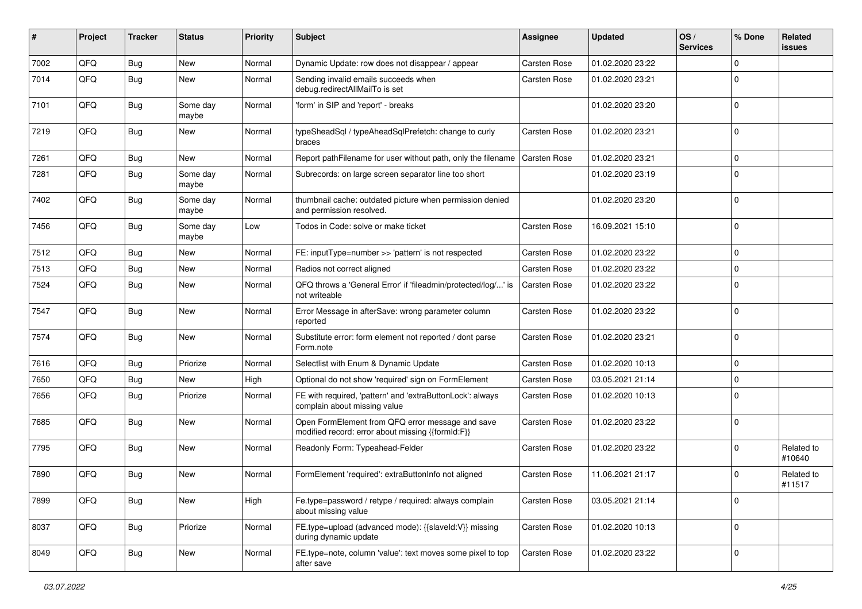| #    | Project | <b>Tracker</b> | <b>Status</b>     | <b>Priority</b> | <b>Subject</b>                                                                                        | Assignee            | <b>Updated</b>   | OS/<br><b>Services</b> | % Done      | Related<br>issues    |
|------|---------|----------------|-------------------|-----------------|-------------------------------------------------------------------------------------------------------|---------------------|------------------|------------------------|-------------|----------------------|
| 7002 | QFQ     | Bug            | New               | Normal          | Dynamic Update: row does not disappear / appear                                                       | Carsten Rose        | 01.02.2020 23:22 |                        | $\Omega$    |                      |
| 7014 | QFQ     | Bug            | <b>New</b>        | Normal          | Sending invalid emails succeeds when<br>debug.redirectAllMailTo is set                                | Carsten Rose        | 01.02.2020 23:21 |                        | $\Omega$    |                      |
| 7101 | QFQ     | <b>Bug</b>     | Some day<br>maybe | Normal          | 'form' in SIP and 'report' - breaks                                                                   |                     | 01.02.2020 23:20 |                        | $\Omega$    |                      |
| 7219 | QFQ     | <b>Bug</b>     | <b>New</b>        | Normal          | typeSheadSql / typeAheadSqlPrefetch: change to curly<br>braces                                        | Carsten Rose        | 01.02.2020 23:21 |                        | $\Omega$    |                      |
| 7261 | QFQ     | <b>Bug</b>     | New               | Normal          | Report pathFilename for user without path, only the filename                                          | <b>Carsten Rose</b> | 01.02.2020 23:21 |                        | $\Omega$    |                      |
| 7281 | QFQ     | Bug            | Some day<br>maybe | Normal          | Subrecords: on large screen separator line too short                                                  |                     | 01.02.2020 23:19 |                        | $\mathbf 0$ |                      |
| 7402 | QFQ     | <b>Bug</b>     | Some day<br>maybe | Normal          | thumbnail cache: outdated picture when permission denied<br>and permission resolved.                  |                     | 01.02.2020 23:20 |                        | $\Omega$    |                      |
| 7456 | QFQ     | Bug            | Some day<br>maybe | Low             | Todos in Code: solve or make ticket                                                                   | Carsten Rose        | 16.09.2021 15:10 |                        | $\mathbf 0$ |                      |
| 7512 | QFQ     | Bug            | New               | Normal          | FE: inputType=number >> 'pattern' is not respected                                                    | Carsten Rose        | 01.02.2020 23:22 |                        | $\Omega$    |                      |
| 7513 | QFQ     | Bug            | New               | Normal          | Radios not correct aligned                                                                            | Carsten Rose        | 01.02.2020 23:22 |                        | 0           |                      |
| 7524 | QFQ     | Bug            | New               | Normal          | QFQ throws a 'General Error' if 'fileadmin/protected/log/' is<br>not writeable                        | Carsten Rose        | 01.02.2020 23:22 |                        | $\Omega$    |                      |
| 7547 | QFQ     | <b>Bug</b>     | <b>New</b>        | Normal          | Error Message in afterSave: wrong parameter column<br>reported                                        | Carsten Rose        | 01.02.2020 23:22 |                        | $\Omega$    |                      |
| 7574 | QFQ     | <b>Bug</b>     | <b>New</b>        | Normal          | Substitute error: form element not reported / dont parse<br>Form.note                                 | Carsten Rose        | 01.02.2020 23:21 |                        | $\Omega$    |                      |
| 7616 | QFQ     | Bug            | Priorize          | Normal          | Selectlist with Enum & Dynamic Update                                                                 | Carsten Rose        | 01.02.2020 10:13 |                        | $\mathbf 0$ |                      |
| 7650 | QFQ     | Bug            | New               | High            | Optional do not show 'required' sign on FormElement                                                   | Carsten Rose        | 03.05.2021 21:14 |                        | $\mathbf 0$ |                      |
| 7656 | QFQ     | <b>Bug</b>     | Priorize          | Normal          | FE with required, 'pattern' and 'extraButtonLock': always<br>complain about missing value             | Carsten Rose        | 01.02.2020 10:13 |                        | $\mathbf 0$ |                      |
| 7685 | QFQ     | <b>Bug</b>     | New               | Normal          | Open FormElement from QFQ error message and save<br>modified record: error about missing {{formId:F}} | Carsten Rose        | 01.02.2020 23:22 |                        | $\Omega$    |                      |
| 7795 | QFQ     | <b>Bug</b>     | <b>New</b>        | Normal          | Readonly Form: Typeahead-Felder                                                                       | Carsten Rose        | 01.02.2020 23:22 |                        | 0           | Related to<br>#10640 |
| 7890 | QFQ     | Bug            | <b>New</b>        | Normal          | FormElement 'required': extraButtonInfo not aligned                                                   | <b>Carsten Rose</b> | 11.06.2021 21:17 |                        | $\Omega$    | Related to<br>#11517 |
| 7899 | QFQ     | <b>Bug</b>     | New               | High            | Fe.type=password / retype / required: always complain<br>about missing value                          | Carsten Rose        | 03.05.2021 21:14 |                        | $\mathbf 0$ |                      |
| 8037 | QFQ     | <b>Bug</b>     | Priorize          | Normal          | FE.type=upload (advanced mode): {{slaveId:V}} missing<br>during dynamic update                        | Carsten Rose        | 01.02.2020 10:13 |                        | $\mathbf 0$ |                      |
| 8049 | QFQ     | <b>Bug</b>     | New               | Normal          | FE.type=note, column 'value': text moves some pixel to top<br>after save                              | Carsten Rose        | 01.02.2020 23:22 |                        | 0           |                      |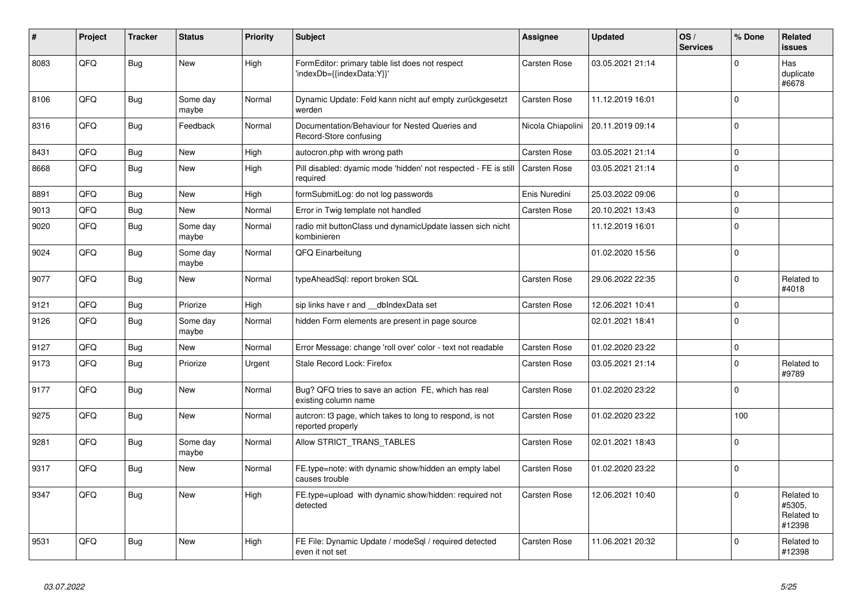| #    | Project | <b>Tracker</b> | <b>Status</b>     | <b>Priority</b> | Subject                                                                       | Assignee            | <b>Updated</b>   | OS/<br><b>Services</b> | % Done       | Related<br><b>issues</b>                     |
|------|---------|----------------|-------------------|-----------------|-------------------------------------------------------------------------------|---------------------|------------------|------------------------|--------------|----------------------------------------------|
| 8083 | QFQ     | <b>Bug</b>     | <b>New</b>        | High            | FormEditor: primary table list does not respect<br>'indexDb={{indexData:Y}}'  | Carsten Rose        | 03.05.2021 21:14 |                        | $\Omega$     | Has<br>duplicate<br>#6678                    |
| 8106 | QFQ     | Bug            | Some day<br>maybe | Normal          | Dynamic Update: Feld kann nicht auf empty zurückgesetzt<br>werden             | Carsten Rose        | 11.12.2019 16:01 |                        | $\Omega$     |                                              |
| 8316 | QFQ     | <b>Bug</b>     | Feedback          | Normal          | Documentation/Behaviour for Nested Queries and<br>Record-Store confusing      | Nicola Chiapolini   | 20.11.2019 09:14 |                        | $\Omega$     |                                              |
| 8431 | QFQ     | Bug            | <b>New</b>        | High            | autocron.php with wrong path                                                  | Carsten Rose        | 03.05.2021 21:14 |                        | $\Omega$     |                                              |
| 8668 | QFQ     | <b>Bug</b>     | <b>New</b>        | High            | Pill disabled: dyamic mode 'hidden' not respected - FE is still<br>required   | <b>Carsten Rose</b> | 03.05.2021 21:14 |                        | $\Omega$     |                                              |
| 8891 | QFQ     | <b>Bug</b>     | <b>New</b>        | High            | formSubmitLog: do not log passwords                                           | Enis Nuredini       | 25.03.2022 09:06 |                        | $\Omega$     |                                              |
| 9013 | QFQ     | <b>Bug</b>     | <b>New</b>        | Normal          | Error in Twig template not handled                                            | Carsten Rose        | 20.10.2021 13:43 |                        | $\Omega$     |                                              |
| 9020 | QFQ     | Bug            | Some day<br>maybe | Normal          | radio mit buttonClass und dynamicUpdate lassen sich nicht<br>kombinieren      |                     | 11.12.2019 16:01 |                        | $\Omega$     |                                              |
| 9024 | QFQ     | Bug            | Some day<br>maybe | Normal          | QFQ Einarbeitung                                                              |                     | 01.02.2020 15:56 |                        | $\mathbf 0$  |                                              |
| 9077 | QFQ     | Bug            | <b>New</b>        | Normal          | typeAheadSql: report broken SQL                                               | <b>Carsten Rose</b> | 29.06.2022 22:35 |                        | <sup>0</sup> | Related to<br>#4018                          |
| 9121 | QFQ     | Bug            | Priorize          | High            | sip links have r and __dbIndexData set                                        | Carsten Rose        | 12.06.2021 10:41 |                        | $\Omega$     |                                              |
| 9126 | QFQ     | Bug            | Some day<br>maybe | Normal          | hidden Form elements are present in page source                               |                     | 02.01.2021 18:41 |                        | $\Omega$     |                                              |
| 9127 | QFQ     | Bug            | <b>New</b>        | Normal          | Error Message: change 'roll over' color - text not readable                   | <b>Carsten Rose</b> | 01.02.2020 23:22 |                        | $\Omega$     |                                              |
| 9173 | QFQ     | Bug            | Priorize          | Urgent          | Stale Record Lock: Firefox                                                    | Carsten Rose        | 03.05.2021 21:14 |                        | 0            | Related to<br>#9789                          |
| 9177 | QFQ     | <b>Bug</b>     | <b>New</b>        | Normal          | Bug? QFQ tries to save an action FE, which has real<br>existing column name   | Carsten Rose        | 01.02.2020 23:22 |                        | $\Omega$     |                                              |
| 9275 | QFQ     | <b>Bug</b>     | <b>New</b>        | Normal          | autcron: t3 page, which takes to long to respond, is not<br>reported properly | Carsten Rose        | 01.02.2020 23:22 |                        | 100          |                                              |
| 9281 | QFQ     | Bug            | Some day<br>maybe | Normal          | Allow STRICT_TRANS_TABLES                                                     | <b>Carsten Rose</b> | 02.01.2021 18:43 |                        | $\Omega$     |                                              |
| 9317 | QFQ     | Bug            | <b>New</b>        | Normal          | FE.type=note: with dynamic show/hidden an empty label<br>causes trouble       | Carsten Rose        | 01.02.2020 23:22 |                        | $\Omega$     |                                              |
| 9347 | QFQ     | <b>Bug</b>     | <b>New</b>        | High            | FE.type=upload with dynamic show/hidden: required not<br>detected             | Carsten Rose        | 12.06.2021 10:40 |                        | 0            | Related to<br>#5305.<br>Related to<br>#12398 |
| 9531 | QFQ     | Bug            | New               | High            | FE File: Dynamic Update / modeSql / required detected<br>even it not set      | <b>Carsten Rose</b> | 11.06.2021 20:32 |                        | $\Omega$     | Related to<br>#12398                         |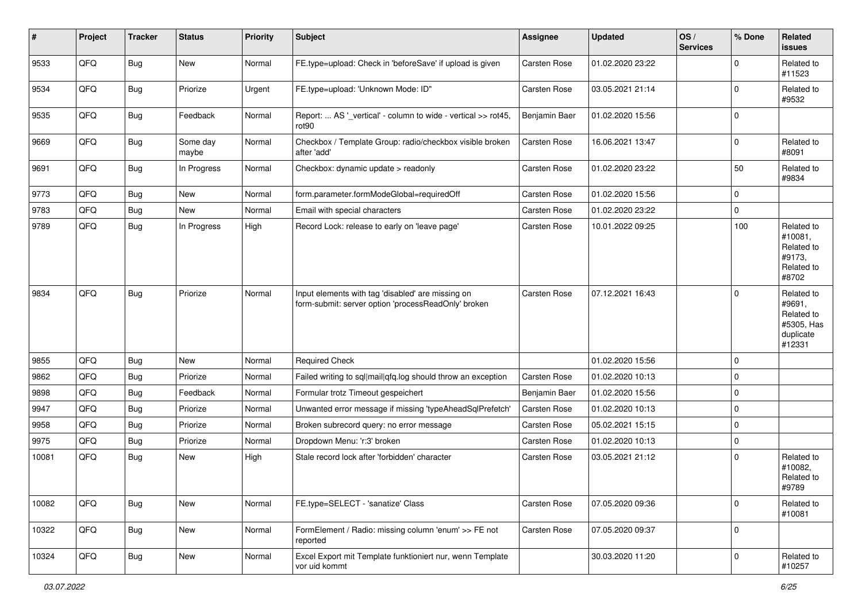| #     | Project | <b>Tracker</b> | <b>Status</b>     | <b>Priority</b> | <b>Subject</b>                                                                                           | <b>Assignee</b> | <b>Updated</b>   | OS/<br><b>Services</b> | % Done      | Related<br><b>issues</b>                                                |
|-------|---------|----------------|-------------------|-----------------|----------------------------------------------------------------------------------------------------------|-----------------|------------------|------------------------|-------------|-------------------------------------------------------------------------|
| 9533  | QFQ     | <b>Bug</b>     | New               | Normal          | FE.type=upload: Check in 'beforeSave' if upload is given                                                 | Carsten Rose    | 01.02.2020 23:22 |                        | $\Omega$    | Related to<br>#11523                                                    |
| 9534  | QFQ     | <b>Bug</b>     | Priorize          | Urgent          | FE.type=upload: 'Unknown Mode: ID"                                                                       | Carsten Rose    | 03.05.2021 21:14 |                        | $\mathbf 0$ | Related to<br>#9532                                                     |
| 9535  | QFQ     | <b>Bug</b>     | Feedback          | Normal          | Report:  AS '_vertical' - column to wide - vertical >> rot45,<br>rot90                                   | Benjamin Baer   | 01.02.2020 15:56 |                        | $\Omega$    |                                                                         |
| 9669  | QFQ     | <b>Bug</b>     | Some day<br>maybe | Normal          | Checkbox / Template Group: radio/checkbox visible broken<br>after 'add'                                  | Carsten Rose    | 16.06.2021 13:47 |                        | 0           | Related to<br>#8091                                                     |
| 9691  | QFQ     | Bug            | In Progress       | Normal          | Checkbox: dynamic update > readonly                                                                      | Carsten Rose    | 01.02.2020 23:22 |                        | 50          | Related to<br>#9834                                                     |
| 9773  | QFQ     | <b>Bug</b>     | New               | Normal          | form.parameter.formModeGlobal=requiredOff                                                                | Carsten Rose    | 01.02.2020 15:56 |                        | $\Omega$    |                                                                         |
| 9783  | QFQ     | <b>Bug</b>     | New               | Normal          | Email with special characters                                                                            | Carsten Rose    | 01.02.2020 23:22 |                        | $\mathbf 0$ |                                                                         |
| 9789  | QFQ     | <b>Bug</b>     | In Progress       | High            | Record Lock: release to early on 'leave page'                                                            | Carsten Rose    | 10.01.2022 09:25 |                        | 100         | Related to<br>#10081,<br>Related to<br>#9173.<br>Related to<br>#8702    |
| 9834  | QFQ     | <b>Bug</b>     | Priorize          | Normal          | Input elements with tag 'disabled' are missing on<br>form-submit: server option 'processReadOnly' broken | Carsten Rose    | 07.12.2021 16:43 |                        | $\Omega$    | Related to<br>#9691,<br>Related to<br>#5305, Has<br>duplicate<br>#12331 |
| 9855  | QFQ     | <b>Bug</b>     | New               | Normal          | <b>Required Check</b>                                                                                    |                 | 01.02.2020 15:56 |                        | 0           |                                                                         |
| 9862  | QFQ     | <b>Bug</b>     | Priorize          | Normal          | Failed writing to sql mail qfq.log should throw an exception                                             | Carsten Rose    | 01.02.2020 10:13 |                        | $\mathbf 0$ |                                                                         |
| 9898  | QFQ     | <b>Bug</b>     | Feedback          | Normal          | Formular trotz Timeout gespeichert                                                                       | Benjamin Baer   | 01.02.2020 15:56 |                        | $\mathbf 0$ |                                                                         |
| 9947  | QFQ     | <b>Bug</b>     | Priorize          | Normal          | Unwanted error message if missing 'typeAheadSqlPrefetch'                                                 | Carsten Rose    | 01.02.2020 10:13 |                        | $\mathbf 0$ |                                                                         |
| 9958  | QFQ     | <b>Bug</b>     | Priorize          | Normal          | Broken subrecord query: no error message                                                                 | Carsten Rose    | 05.02.2021 15:15 |                        | $\mathbf 0$ |                                                                         |
| 9975  | QFQ     | <b>Bug</b>     | Priorize          | Normal          | Dropdown Menu: 'r:3' broken                                                                              | Carsten Rose    | 01.02.2020 10:13 |                        | $\mathbf 0$ |                                                                         |
| 10081 | QFQ     | <b>Bug</b>     | New               | High            | Stale record lock after 'forbidden' character                                                            | Carsten Rose    | 03.05.2021 21:12 |                        | $\mathbf 0$ | Related to<br>#10082,<br>Related to<br>#9789                            |
| 10082 | QFQ     | <b>Bug</b>     | New               | Normal          | FE.type=SELECT - 'sanatize' Class                                                                        | Carsten Rose    | 07.05.2020 09:36 |                        | $\mathbf 0$ | Related to<br>#10081                                                    |
| 10322 | QFQ     | <b>Bug</b>     | New               | Normal          | FormElement / Radio: missing column 'enum' >> FE not<br>reported                                         | Carsten Rose    | 07.05.2020 09:37 |                        | 0           |                                                                         |
| 10324 | QFQ     | Bug            | New               | Normal          | Excel Export mit Template funktioniert nur, wenn Template<br>vor uid kommt                               |                 | 30.03.2020 11:20 |                        | $\mathbf 0$ | Related to<br>#10257                                                    |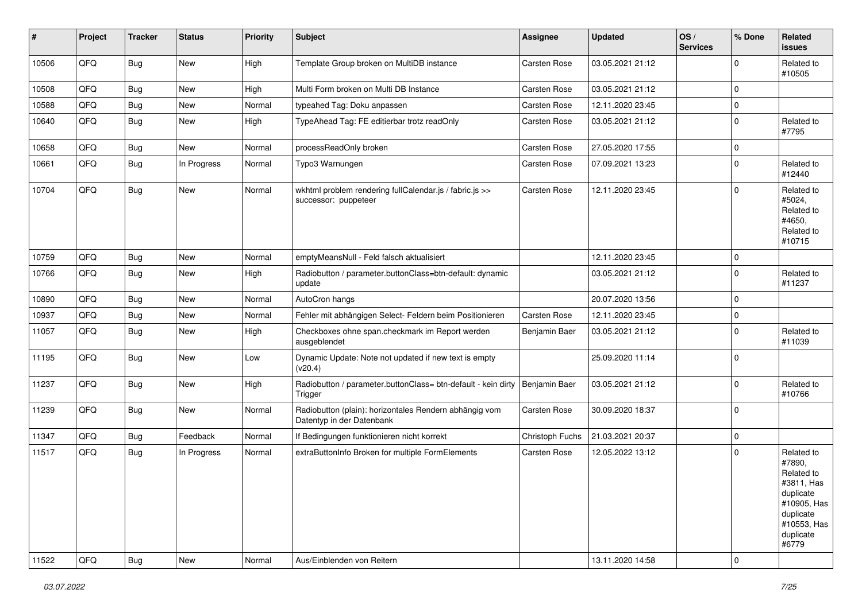| #     | Project | <b>Tracker</b> | <b>Status</b> | <b>Priority</b> | Subject                                                                             | Assignee            | <b>Updated</b>   | OS/<br><b>Services</b> | % Done      | Related<br><b>issues</b>                                                                                                       |
|-------|---------|----------------|---------------|-----------------|-------------------------------------------------------------------------------------|---------------------|------------------|------------------------|-------------|--------------------------------------------------------------------------------------------------------------------------------|
| 10506 | QFQ     | <b>Bug</b>     | <b>New</b>    | High            | Template Group broken on MultiDB instance                                           | Carsten Rose        | 03.05.2021 21:12 |                        | $\Omega$    | Related to<br>#10505                                                                                                           |
| 10508 | QFQ     | <b>Bug</b>     | <b>New</b>    | High            | Multi Form broken on Multi DB Instance                                              | Carsten Rose        | 03.05.2021 21:12 |                        | $\mathbf 0$ |                                                                                                                                |
| 10588 | QFQ     | <b>Bug</b>     | New           | Normal          | typeahed Tag: Doku anpassen                                                         | Carsten Rose        | 12.11.2020 23:45 |                        | $\mathbf 0$ |                                                                                                                                |
| 10640 | QFQ     | <b>Bug</b>     | <b>New</b>    | High            | TypeAhead Tag: FE editierbar trotz readOnly                                         | Carsten Rose        | 03.05.2021 21:12 |                        | $\mathbf 0$ | Related to<br>#7795                                                                                                            |
| 10658 | QFQ     | <b>Bug</b>     | New           | Normal          | processReadOnly broken                                                              | <b>Carsten Rose</b> | 27.05.2020 17:55 |                        | $\mathbf 0$ |                                                                                                                                |
| 10661 | QFQ     | <b>Bug</b>     | In Progress   | Normal          | Typo3 Warnungen                                                                     | Carsten Rose        | 07.09.2021 13:23 |                        | $\mathbf 0$ | Related to<br>#12440                                                                                                           |
| 10704 | QFQ     | <b>Bug</b>     | New           | Normal          | wkhtml problem rendering fullCalendar.js / fabric.js >><br>successor: puppeteer     | Carsten Rose        | 12.11.2020 23:45 |                        | $\mathbf 0$ | Related to<br>#5024,<br>Related to<br>#4650,<br>Related to<br>#10715                                                           |
| 10759 | QFQ     | <b>Bug</b>     | <b>New</b>    | Normal          | emptyMeansNull - Feld falsch aktualisiert                                           |                     | 12.11.2020 23:45 |                        | $\mathbf 0$ |                                                                                                                                |
| 10766 | QFQ     | <b>Bug</b>     | New           | High            | Radiobutton / parameter.buttonClass=btn-default: dynamic<br>update                  |                     | 03.05.2021 21:12 |                        | $\mathbf 0$ | Related to<br>#11237                                                                                                           |
| 10890 | QFQ     | <b>Bug</b>     | New           | Normal          | AutoCron hangs                                                                      |                     | 20.07.2020 13:56 |                        | $\mathbf 0$ |                                                                                                                                |
| 10937 | QFQ     | <b>Bug</b>     | <b>New</b>    | Normal          | Fehler mit abhängigen Select- Feldern beim Positionieren                            | Carsten Rose        | 12.11.2020 23:45 |                        | $\mathbf 0$ |                                                                                                                                |
| 11057 | QFQ     | <b>Bug</b>     | <b>New</b>    | High            | Checkboxes ohne span.checkmark im Report werden<br>ausgeblendet                     | Benjamin Baer       | 03.05.2021 21:12 |                        | $\mathbf 0$ | Related to<br>#11039                                                                                                           |
| 11195 | QFQ     | <b>Bug</b>     | <b>New</b>    | Low             | Dynamic Update: Note not updated if new text is empty<br>(v20.4)                    |                     | 25.09.2020 11:14 |                        | $\mathbf 0$ |                                                                                                                                |
| 11237 | QFQ     | <b>Bug</b>     | <b>New</b>    | High            | Radiobutton / parameter.buttonClass= btn-default - kein dirty<br>Trigger            | Benjamin Baer       | 03.05.2021 21:12 |                        | $\Omega$    | Related to<br>#10766                                                                                                           |
| 11239 | QFQ     | <b>Bug</b>     | New           | Normal          | Radiobutton (plain): horizontales Rendern abhängig vom<br>Datentyp in der Datenbank | Carsten Rose        | 30.09.2020 18:37 |                        | $\mathbf 0$ |                                                                                                                                |
| 11347 | QFQ     | <b>Bug</b>     | Feedback      | Normal          | If Bedingungen funktionieren nicht korrekt                                          | Christoph Fuchs     | 21.03.2021 20:37 |                        | $\mathbf 0$ |                                                                                                                                |
| 11517 | QFQ     | <b>Bug</b>     | In Progress   | Normal          | extraButtonInfo Broken for multiple FormElements                                    | <b>Carsten Rose</b> | 12.05.2022 13:12 |                        | $\mathbf 0$ | Related to<br>#7890,<br>Related to<br>#3811, Has<br>duplicate<br>#10905, Has<br>duplicate<br>#10553, Has<br>duplicate<br>#6779 |
| 11522 | QFQ     | Bug            | New           | Normal          | Aus/Einblenden von Reitern                                                          |                     | 13.11.2020 14:58 |                        | $\pmb{0}$   |                                                                                                                                |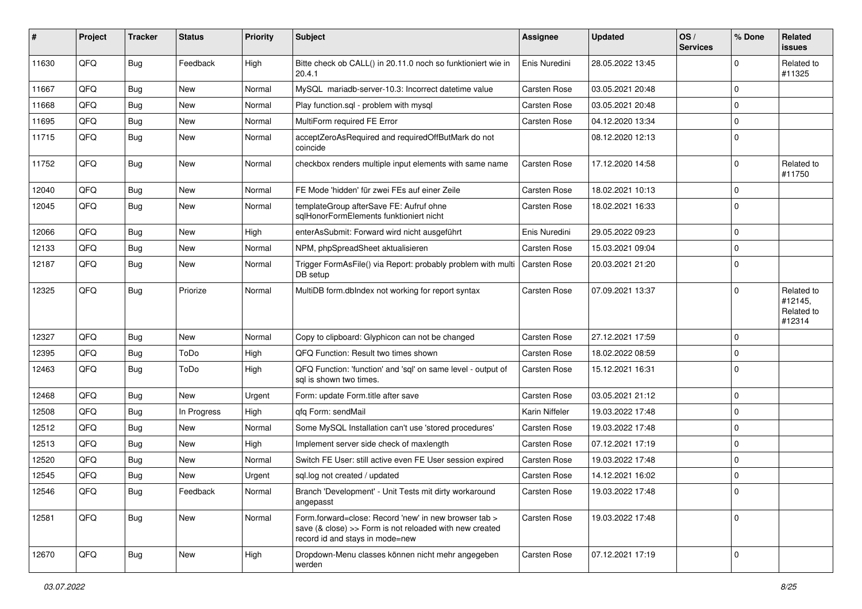| #     | Project | <b>Tracker</b> | <b>Status</b> | <b>Priority</b> | Subject                                                                                                                                             | Assignee            | <b>Updated</b>   | OS/<br><b>Services</b> | % Done      | Related<br>issues                             |
|-------|---------|----------------|---------------|-----------------|-----------------------------------------------------------------------------------------------------------------------------------------------------|---------------------|------------------|------------------------|-------------|-----------------------------------------------|
| 11630 | QFQ     | <b>Bug</b>     | Feedback      | High            | Bitte check ob CALL() in 20.11.0 noch so funktioniert wie in<br>20.4.1                                                                              | Enis Nuredini       | 28.05.2022 13:45 |                        | 0           | Related to<br>#11325                          |
| 11667 | QFQ     | <b>Bug</b>     | <b>New</b>    | Normal          | MySQL mariadb-server-10.3: Incorrect datetime value                                                                                                 | Carsten Rose        | 03.05.2021 20:48 |                        | $\Omega$    |                                               |
| 11668 | QFQ     | <b>Bug</b>     | New           | Normal          | Play function.sql - problem with mysql                                                                                                              | Carsten Rose        | 03.05.2021 20:48 |                        | $\Omega$    |                                               |
| 11695 | QFQ     | <b>Bug</b>     | <b>New</b>    | Normal          | MultiForm required FE Error                                                                                                                         | Carsten Rose        | 04.12.2020 13:34 |                        | 0           |                                               |
| 11715 | QFQ     | <b>Bug</b>     | New           | Normal          | acceptZeroAsRequired and requiredOffButMark do not<br>coincide                                                                                      |                     | 08.12.2020 12:13 |                        | $\Omega$    |                                               |
| 11752 | QFQ     | Bug            | <b>New</b>    | Normal          | checkbox renders multiple input elements with same name                                                                                             | Carsten Rose        | 17.12.2020 14:58 |                        | $\Omega$    | Related to<br>#11750                          |
| 12040 | QFQ     | <b>Bug</b>     | <b>New</b>    | Normal          | FE Mode 'hidden' für zwei FEs auf einer Zeile                                                                                                       | Carsten Rose        | 18.02.2021 10:13 |                        | $\Omega$    |                                               |
| 12045 | QFQ     | Bug            | New           | Normal          | templateGroup afterSave FE: Aufruf ohne<br>sqlHonorFormElements funktioniert nicht                                                                  | Carsten Rose        | 18.02.2021 16:33 |                        | $\Omega$    |                                               |
| 12066 | QFQ     | <b>Bug</b>     | New           | High            | enterAsSubmit: Forward wird nicht ausgeführt                                                                                                        | Enis Nuredini       | 29.05.2022 09:23 |                        | $\Omega$    |                                               |
| 12133 | QFQ     | <b>Bug</b>     | <b>New</b>    | Normal          | NPM, phpSpreadSheet aktualisieren                                                                                                                   | <b>Carsten Rose</b> | 15.03.2021 09:04 |                        | $\Omega$    |                                               |
| 12187 | QFQ     | <b>Bug</b>     | <b>New</b>    | Normal          | Trigger FormAsFile() via Report: probably problem with multi<br>DB setup                                                                            | Carsten Rose        | 20.03.2021 21:20 |                        | $\mathbf 0$ |                                               |
| 12325 | QFQ     | <b>Bug</b>     | Priorize      | Normal          | MultiDB form.dbIndex not working for report syntax                                                                                                  | <b>Carsten Rose</b> | 07.09.2021 13:37 |                        | $\Omega$    | Related to<br>#12145,<br>Related to<br>#12314 |
| 12327 | QFQ     | <b>Bug</b>     | <b>New</b>    | Normal          | Copy to clipboard: Glyphicon can not be changed                                                                                                     | Carsten Rose        | 27.12.2021 17:59 |                        | $\mathbf 0$ |                                               |
| 12395 | QFQ     | <b>Bug</b>     | ToDo          | High            | QFQ Function: Result two times shown                                                                                                                | Carsten Rose        | 18.02.2022 08:59 |                        | $\mathbf 0$ |                                               |
| 12463 | QFQ     | <b>Bug</b>     | ToDo          | High            | QFQ Function: 'function' and 'sql' on same level - output of<br>sal is shown two times.                                                             | Carsten Rose        | 15.12.2021 16:31 |                        | $\Omega$    |                                               |
| 12468 | QFQ     | <b>Bug</b>     | <b>New</b>    | Urgent          | Form: update Form.title after save                                                                                                                  | Carsten Rose        | 03.05.2021 21:12 |                        | $\mathbf 0$ |                                               |
| 12508 | QFQ     | <b>Bug</b>     | In Progress   | High            | gfg Form: sendMail                                                                                                                                  | Karin Niffeler      | 19.03.2022 17:48 |                        | $\mathbf 0$ |                                               |
| 12512 | QFQ     | <b>Bug</b>     | <b>New</b>    | Normal          | Some MySQL Installation can't use 'stored procedures'                                                                                               | Carsten Rose        | 19.03.2022 17:48 |                        | 0           |                                               |
| 12513 | QFQ     | <b>Bug</b>     | <b>New</b>    | High            | Implement server side check of maxlength                                                                                                            | Carsten Rose        | 07.12.2021 17:19 |                        | $\Omega$    |                                               |
| 12520 | QFQ     | <b>Bug</b>     | New           | Normal          | Switch FE User: still active even FE User session expired                                                                                           | Carsten Rose        | 19.03.2022 17:48 |                        | $\Omega$    |                                               |
| 12545 | QFQ     | <b>Bug</b>     | New           | Urgent          | sql.log not created / updated                                                                                                                       | <b>Carsten Rose</b> | 14.12.2021 16:02 |                        | $\mathbf 0$ |                                               |
| 12546 | QFQ     | Bug            | Feedback      | Normal          | Branch 'Development' - Unit Tests mit dirty workaround<br>angepasst                                                                                 | Carsten Rose        | 19.03.2022 17:48 |                        | 0           |                                               |
| 12581 | QFQ     | <b>Bug</b>     | New           | Normal          | Form.forward=close: Record 'new' in new browser tab ><br>save (& close) >> Form is not reloaded with new created<br>record id and stays in mode=new | Carsten Rose        | 19.03.2022 17:48 |                        | $\Omega$    |                                               |
| 12670 | QFQ     | <b>Bug</b>     | New           | High            | Dropdown-Menu classes können nicht mehr angegeben<br>werden                                                                                         | Carsten Rose        | 07.12.2021 17:19 |                        | $\mathbf 0$ |                                               |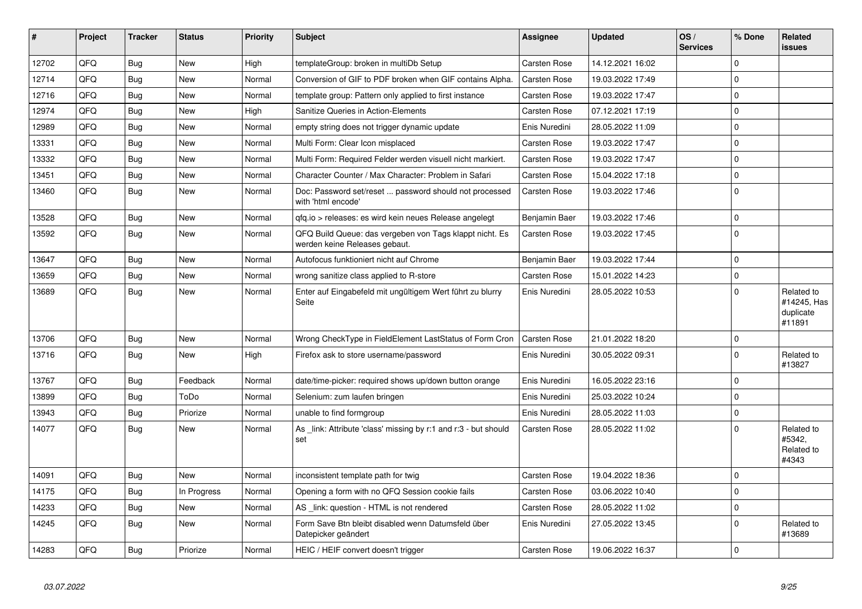| #     | Project | <b>Tracker</b> | <b>Status</b> | <b>Priority</b> | <b>Subject</b>                                                                           | <b>Assignee</b>     | <b>Updated</b>   | OS/<br><b>Services</b> | % Done         | Related<br><b>issues</b>                         |
|-------|---------|----------------|---------------|-----------------|------------------------------------------------------------------------------------------|---------------------|------------------|------------------------|----------------|--------------------------------------------------|
| 12702 | QFQ     | <b>Bug</b>     | <b>New</b>    | High            | templateGroup: broken in multiDb Setup                                                   | Carsten Rose        | 14.12.2021 16:02 |                        | $\Omega$       |                                                  |
| 12714 | QFQ     | Bug            | <b>New</b>    | Normal          | Conversion of GIF to PDF broken when GIF contains Alpha.                                 | Carsten Rose        | 19.03.2022 17:49 |                        | $\mathbf 0$    |                                                  |
| 12716 | QFQ     | Bug            | <b>New</b>    | Normal          | template group: Pattern only applied to first instance                                   | <b>Carsten Rose</b> | 19.03.2022 17:47 |                        | $\overline{0}$ |                                                  |
| 12974 | QFQ     | <b>Bug</b>     | <b>New</b>    | High            | Sanitize Queries in Action-Elements                                                      | Carsten Rose        | 07.12.2021 17:19 |                        | 0              |                                                  |
| 12989 | QFQ     | Bug            | New           | Normal          | empty string does not trigger dynamic update                                             | Enis Nuredini       | 28.05.2022 11:09 |                        | $\mathbf 0$    |                                                  |
| 13331 | QFQ     | <b>Bug</b>     | <b>New</b>    | Normal          | Multi Form: Clear Icon misplaced                                                         | Carsten Rose        | 19.03.2022 17:47 |                        | $\mathbf 0$    |                                                  |
| 13332 | QFQ     | Bug            | New           | Normal          | Multi Form: Required Felder werden visuell nicht markiert.                               | Carsten Rose        | 19.03.2022 17:47 |                        | $\mathbf 0$    |                                                  |
| 13451 | QFQ     | <b>Bug</b>     | <b>New</b>    | Normal          | Character Counter / Max Character: Problem in Safari                                     | <b>Carsten Rose</b> | 15.04.2022 17:18 |                        | 0              |                                                  |
| 13460 | QFQ     | <b>Bug</b>     | New           | Normal          | Doc: Password set/reset  password should not processed<br>with 'html encode'             | <b>Carsten Rose</b> | 19.03.2022 17:46 |                        | $\mathbf 0$    |                                                  |
| 13528 | QFQ     | <b>Bug</b>     | <b>New</b>    | Normal          | gfg.io > releases: es wird kein neues Release angelegt                                   | Benjamin Baer       | 19.03.2022 17:46 |                        | $\overline{0}$ |                                                  |
| 13592 | QFQ     | Bug            | <b>New</b>    | Normal          | QFQ Build Queue: das vergeben von Tags klappt nicht. Es<br>werden keine Releases gebaut. | Carsten Rose        | 19.03.2022 17:45 |                        | $\mathbf 0$    |                                                  |
| 13647 | QFQ     | <b>Bug</b>     | <b>New</b>    | Normal          | Autofocus funktioniert nicht auf Chrome                                                  | Benjamin Baer       | 19.03.2022 17:44 |                        | 0              |                                                  |
| 13659 | QFQ     | <b>Bug</b>     | <b>New</b>    | Normal          | wrong sanitize class applied to R-store                                                  | Carsten Rose        | 15.01.2022 14:23 |                        | $\mathbf 0$    |                                                  |
| 13689 | QFQ     | <b>Bug</b>     | <b>New</b>    | Normal          | Enter auf Eingabefeld mit ungültigem Wert führt zu blurry<br>Seite                       | Enis Nuredini       | 28.05.2022 10:53 |                        | $\mathbf 0$    | Related to<br>#14245, Has<br>duplicate<br>#11891 |
| 13706 | QFQ     | <b>Bug</b>     | <b>New</b>    | Normal          | Wrong CheckType in FieldElement LastStatus of Form Cron                                  | Carsten Rose        | 21.01.2022 18:20 |                        | 0              |                                                  |
| 13716 | QFQ     | <b>Bug</b>     | New           | High            | Firefox ask to store username/password                                                   | Enis Nuredini       | 30.05.2022 09:31 |                        | $\mathbf 0$    | Related to<br>#13827                             |
| 13767 | QFQ     | <b>Bug</b>     | Feedback      | Normal          | date/time-picker: required shows up/down button orange                                   | Enis Nuredini       | 16.05.2022 23:16 |                        | 0              |                                                  |
| 13899 | QFQ     | <b>Bug</b>     | ToDo          | Normal          | Selenium: zum laufen bringen                                                             | Enis Nuredini       | 25.03.2022 10:24 |                        | $\pmb{0}$      |                                                  |
| 13943 | QFQ     | Bug            | Priorize      | Normal          | unable to find formgroup                                                                 | Enis Nuredini       | 28.05.2022 11:03 |                        | $\pmb{0}$      |                                                  |
| 14077 | QFQ     | Bug            | New           | Normal          | As link: Attribute 'class' missing by r:1 and r:3 - but should<br>set                    | Carsten Rose        | 28.05.2022 11:02 |                        | $\mathbf 0$    | Related to<br>#5342,<br>Related to<br>#4343      |
| 14091 | QFQ     | <b>Bug</b>     | <b>New</b>    | Normal          | inconsistent template path for twig                                                      | Carsten Rose        | 19.04.2022 18:36 |                        | $\mathbf 0$    |                                                  |
| 14175 | QFQ     | Bug            | In Progress   | Normal          | Opening a form with no QFQ Session cookie fails                                          | Carsten Rose        | 03.06.2022 10:40 |                        | $\Omega$       |                                                  |
| 14233 | QFQ     | Bug            | <b>New</b>    | Normal          | AS link: question - HTML is not rendered                                                 | <b>Carsten Rose</b> | 28.05.2022 11:02 |                        | 0              |                                                  |
| 14245 | QFQ     | Bug            | New           | Normal          | Form Save Btn bleibt disabled wenn Datumsfeld über<br>Datepicker geändert                | Enis Nuredini       | 27.05.2022 13:45 |                        | $\mathbf 0$    | Related to<br>#13689                             |
| 14283 | QFQ     | Bug            | Priorize      | Normal          | HEIC / HEIF convert doesn't trigger                                                      | Carsten Rose        | 19.06.2022 16:37 |                        | 0              |                                                  |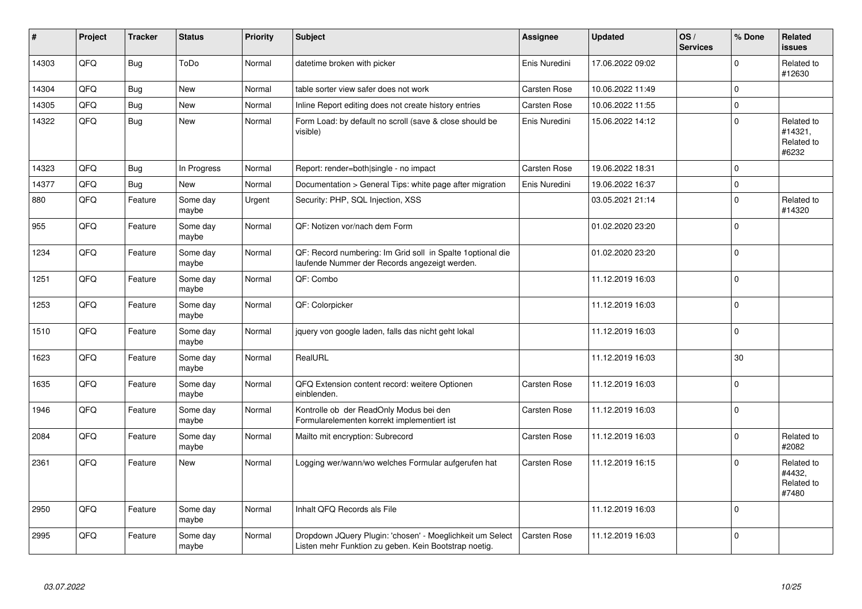| #     | Project | <b>Tracker</b> | <b>Status</b>     | <b>Priority</b> | <b>Subject</b>                                                                                                     | <b>Assignee</b> | <b>Updated</b>   | OS/<br><b>Services</b> | % Done      | <b>Related</b><br><b>issues</b>              |
|-------|---------|----------------|-------------------|-----------------|--------------------------------------------------------------------------------------------------------------------|-----------------|------------------|------------------------|-------------|----------------------------------------------|
| 14303 | QFQ     | <b>Bug</b>     | ToDo              | Normal          | datetime broken with picker                                                                                        | Enis Nuredini   | 17.06.2022 09:02 |                        | $\Omega$    | Related to<br>#12630                         |
| 14304 | QFQ     | <b>Bug</b>     | <b>New</b>        | Normal          | table sorter view safer does not work                                                                              | Carsten Rose    | 10.06.2022 11:49 |                        | $\mathbf 0$ |                                              |
| 14305 | QFQ     | <b>Bug</b>     | New               | Normal          | Inline Report editing does not create history entries                                                              | Carsten Rose    | 10.06.2022 11:55 |                        | $\mathbf 0$ |                                              |
| 14322 | QFQ     | <b>Bug</b>     | New               | Normal          | Form Load: by default no scroll (save & close should be<br>visible)                                                | Enis Nuredini   | 15.06.2022 14:12 |                        | $\mathbf 0$ | Related to<br>#14321,<br>Related to<br>#6232 |
| 14323 | QFQ     | Bug            | In Progress       | Normal          | Report: render=both single - no impact                                                                             | Carsten Rose    | 19.06.2022 18:31 |                        | $\mathbf 0$ |                                              |
| 14377 | QFQ     | <b>Bug</b>     | <b>New</b>        | Normal          | Documentation > General Tips: white page after migration                                                           | Enis Nuredini   | 19.06.2022 16:37 |                        | $\Omega$    |                                              |
| 880   | QFQ     | Feature        | Some day<br>maybe | Urgent          | Security: PHP, SQL Injection, XSS                                                                                  |                 | 03.05.2021 21:14 |                        | $\mathbf 0$ | Related to<br>#14320                         |
| 955   | QFQ     | Feature        | Some day<br>maybe | Normal          | QF: Notizen vor/nach dem Form                                                                                      |                 | 01.02.2020 23:20 |                        | $\Omega$    |                                              |
| 1234  | QFQ     | Feature        | Some day<br>maybe | Normal          | QF: Record numbering: Im Grid soll in Spalte 1 optional die<br>laufende Nummer der Records angezeigt werden.       |                 | 01.02.2020 23:20 |                        | $\mathbf 0$ |                                              |
| 1251  | QFQ     | Feature        | Some day<br>maybe | Normal          | QF: Combo                                                                                                          |                 | 11.12.2019 16:03 |                        | $\mathbf 0$ |                                              |
| 1253  | QFQ     | Feature        | Some day<br>maybe | Normal          | QF: Colorpicker                                                                                                    |                 | 11.12.2019 16:03 |                        | $\mathbf 0$ |                                              |
| 1510  | QFQ     | Feature        | Some day<br>maybe | Normal          | jquery von google laden, falls das nicht geht lokal                                                                |                 | 11.12.2019 16:03 |                        | $\Omega$    |                                              |
| 1623  | QFQ     | Feature        | Some day<br>maybe | Normal          | RealURL                                                                                                            |                 | 11.12.2019 16:03 |                        | 30          |                                              |
| 1635  | QFQ     | Feature        | Some day<br>maybe | Normal          | QFQ Extension content record: weitere Optionen<br>einblenden.                                                      | Carsten Rose    | 11.12.2019 16:03 |                        | $\mathbf 0$ |                                              |
| 1946  | QFQ     | Feature        | Some day<br>maybe | Normal          | Kontrolle ob der ReadOnly Modus bei den<br>Formularelementen korrekt implementiert ist                             | Carsten Rose    | 11.12.2019 16:03 |                        | $\mathbf 0$ |                                              |
| 2084  | QFQ     | Feature        | Some day<br>maybe | Normal          | Mailto mit encryption: Subrecord                                                                                   | Carsten Rose    | 11.12.2019 16:03 |                        | $\mathbf 0$ | Related to<br>#2082                          |
| 2361  | QFQ     | Feature        | <b>New</b>        | Normal          | Logging wer/wann/wo welches Formular aufgerufen hat                                                                | Carsten Rose    | 11.12.2019 16:15 |                        | $\mathbf 0$ | Related to<br>#4432.<br>Related to<br>#7480  |
| 2950  | QFQ     | Feature        | Some day<br>maybe | Normal          | Inhalt QFQ Records als File                                                                                        |                 | 11.12.2019 16:03 |                        | $\Omega$    |                                              |
| 2995  | QFQ     | Feature        | Some day<br>maybe | Normal          | Dropdown JQuery Plugin: 'chosen' - Moeglichkeit um Select<br>Listen mehr Funktion zu geben. Kein Bootstrap noetig. | Carsten Rose    | 11.12.2019 16:03 |                        | $\Omega$    |                                              |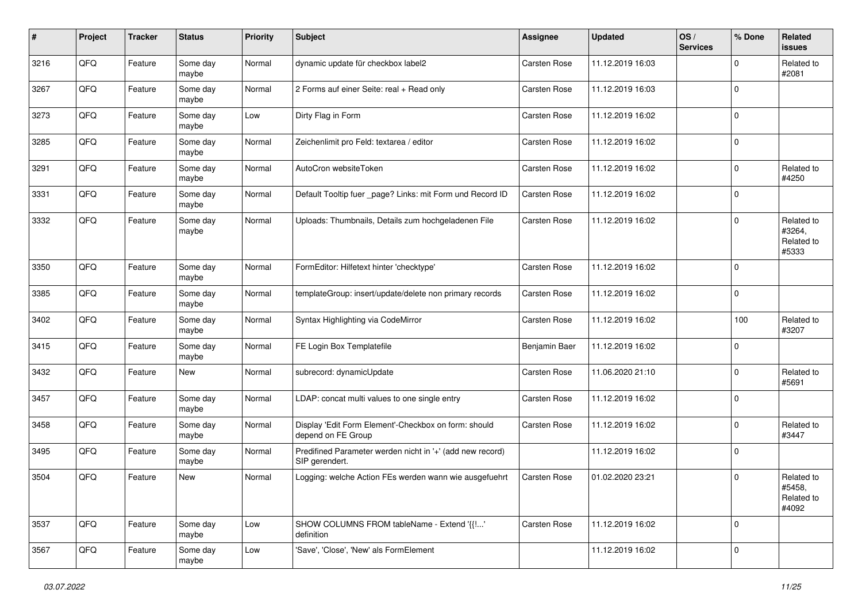| #    | Project | <b>Tracker</b> | <b>Status</b>     | <b>Priority</b> | <b>Subject</b>                                                              | <b>Assignee</b> | <b>Updated</b>   | OS/<br><b>Services</b> | % Done      | Related<br><b>issues</b>                    |
|------|---------|----------------|-------------------|-----------------|-----------------------------------------------------------------------------|-----------------|------------------|------------------------|-------------|---------------------------------------------|
| 3216 | QFQ     | Feature        | Some day<br>maybe | Normal          | dynamic update für checkbox label2                                          | Carsten Rose    | 11.12.2019 16:03 |                        | 0           | Related to<br>#2081                         |
| 3267 | QFQ     | Feature        | Some day<br>maybe | Normal          | 2 Forms auf einer Seite: real + Read only                                   | Carsten Rose    | 11.12.2019 16:03 |                        | $\mathbf 0$ |                                             |
| 3273 | QFQ     | Feature        | Some day<br>maybe | Low             | Dirty Flag in Form                                                          | Carsten Rose    | 11.12.2019 16:02 |                        | $\mathbf 0$ |                                             |
| 3285 | QFQ     | Feature        | Some day<br>maybe | Normal          | Zeichenlimit pro Feld: textarea / editor                                    | Carsten Rose    | 11.12.2019 16:02 |                        | $\mathbf 0$ |                                             |
| 3291 | QFQ     | Feature        | Some day<br>maybe | Normal          | AutoCron websiteToken                                                       | Carsten Rose    | 11.12.2019 16:02 |                        | $\mathbf 0$ | Related to<br>#4250                         |
| 3331 | QFQ     | Feature        | Some day<br>maybe | Normal          | Default Tooltip fuer _page? Links: mit Form und Record ID                   | Carsten Rose    | 11.12.2019 16:02 |                        | $\mathbf 0$ |                                             |
| 3332 | QFQ     | Feature        | Some day<br>maybe | Normal          | Uploads: Thumbnails, Details zum hochgeladenen File                         | Carsten Rose    | 11.12.2019 16:02 |                        | $\mathbf 0$ | Related to<br>#3264,<br>Related to<br>#5333 |
| 3350 | QFQ     | Feature        | Some day<br>maybe | Normal          | FormEditor: Hilfetext hinter 'checktype'                                    | Carsten Rose    | 11.12.2019 16:02 |                        | $\mathbf 0$ |                                             |
| 3385 | QFQ     | Feature        | Some day<br>maybe | Normal          | templateGroup: insert/update/delete non primary records                     | Carsten Rose    | 11.12.2019 16:02 |                        | $\mathbf 0$ |                                             |
| 3402 | QFQ     | Feature        | Some day<br>maybe | Normal          | Syntax Highlighting via CodeMirror                                          | Carsten Rose    | 11.12.2019 16:02 |                        | 100         | Related to<br>#3207                         |
| 3415 | QFQ     | Feature        | Some day<br>maybe | Normal          | FE Login Box Templatefile                                                   | Benjamin Baer   | 11.12.2019 16:02 |                        | $\pmb{0}$   |                                             |
| 3432 | QFQ     | Feature        | New               | Normal          | subrecord: dynamicUpdate                                                    | Carsten Rose    | 11.06.2020 21:10 |                        | $\mathbf 0$ | Related to<br>#5691                         |
| 3457 | QFQ     | Feature        | Some day<br>maybe | Normal          | LDAP: concat multi values to one single entry                               | Carsten Rose    | 11.12.2019 16:02 |                        | $\mathbf 0$ |                                             |
| 3458 | QFQ     | Feature        | Some day<br>maybe | Normal          | Display 'Edit Form Element'-Checkbox on form: should<br>depend on FE Group  | Carsten Rose    | 11.12.2019 16:02 |                        | $\mathbf 0$ | Related to<br>#3447                         |
| 3495 | QFQ     | Feature        | Some day<br>maybe | Normal          | Predifined Parameter werden nicht in '+' (add new record)<br>SIP gerendert. |                 | 11.12.2019 16:02 |                        | $\mathbf 0$ |                                             |
| 3504 | QFQ     | Feature        | New               | Normal          | Logging: welche Action FEs werden wann wie ausgefuehrt                      | Carsten Rose    | 01.02.2020 23:21 |                        | $\mathbf 0$ | Related to<br>#5458,<br>Related to<br>#4092 |
| 3537 | QFQ     | Feature        | Some day<br>maybe | Low             | SHOW COLUMNS FROM tableName - Extend '{{!'<br>definition                    | Carsten Rose    | 11.12.2019 16:02 |                        | $\mathbf 0$ |                                             |
| 3567 | QFQ     | Feature        | Some day<br>maybe | Low             | 'Save', 'Close', 'New' als FormElement                                      |                 | 11.12.2019 16:02 |                        | $\mathbf 0$ |                                             |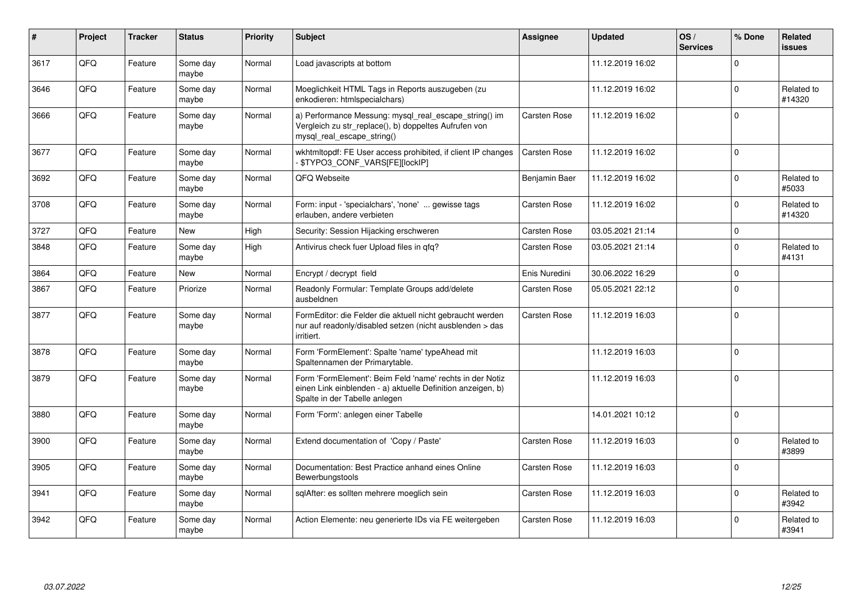| $\pmb{\#}$ | Project | <b>Tracker</b> | <b>Status</b>     | <b>Priority</b> | <b>Subject</b>                                                                                                                                           | Assignee            | <b>Updated</b>   | OS/<br><b>Services</b> | % Done      | Related<br><b>issues</b> |
|------------|---------|----------------|-------------------|-----------------|----------------------------------------------------------------------------------------------------------------------------------------------------------|---------------------|------------------|------------------------|-------------|--------------------------|
| 3617       | QFQ     | Feature        | Some day<br>maybe | Normal          | Load javascripts at bottom                                                                                                                               |                     | 11.12.2019 16:02 |                        | $\Omega$    |                          |
| 3646       | QFQ     | Feature        | Some day<br>maybe | Normal          | Moeglichkeit HTML Tags in Reports auszugeben (zu<br>enkodieren: htmlspecialchars)                                                                        |                     | 11.12.2019 16:02 |                        | $\Omega$    | Related to<br>#14320     |
| 3666       | QFQ     | Feature        | Some day<br>maybe | Normal          | a) Performance Messung: mysql_real_escape_string() im<br>Vergleich zu str_replace(), b) doppeltes Aufrufen von<br>mysql real escape string()             | Carsten Rose        | 11.12.2019 16:02 |                        | $\mathbf 0$ |                          |
| 3677       | QFQ     | Feature        | Some day<br>maybe | Normal          | wkhtmltopdf: FE User access prohibited, if client IP changes<br>\$TYPO3_CONF_VARS[FE][lockIP]                                                            | Carsten Rose        | 11.12.2019 16:02 |                        | $\mathbf 0$ |                          |
| 3692       | QFQ     | Feature        | Some day<br>maybe | Normal          | QFQ Webseite                                                                                                                                             | Benjamin Baer       | 11.12.2019 16:02 |                        | $\mathbf 0$ | Related to<br>#5033      |
| 3708       | QFQ     | Feature        | Some day<br>maybe | Normal          | Form: input - 'specialchars', 'none'  gewisse tags<br>erlauben, andere verbieten                                                                         | <b>Carsten Rose</b> | 11.12.2019 16:02 |                        | $\mathbf 0$ | Related to<br>#14320     |
| 3727       | QFQ     | Feature        | New               | High            | Security: Session Hijacking erschweren                                                                                                                   | Carsten Rose        | 03.05.2021 21:14 |                        | $\mathsf 0$ |                          |
| 3848       | QFQ     | Feature        | Some day<br>maybe | High            | Antivirus check fuer Upload files in qfq?                                                                                                                | Carsten Rose        | 03.05.2021 21:14 |                        | $\mathbf 0$ | Related to<br>#4131      |
| 3864       | QFQ     | Feature        | New               | Normal          | Encrypt / decrypt field                                                                                                                                  | Enis Nuredini       | 30.06.2022 16:29 |                        | $\mathbf 0$ |                          |
| 3867       | QFQ     | Feature        | Priorize          | Normal          | Readonly Formular: Template Groups add/delete<br>ausbeldnen                                                                                              | Carsten Rose        | 05.05.2021 22:12 |                        | $\mathbf 0$ |                          |
| 3877       | QFQ     | Feature        | Some day<br>maybe | Normal          | FormEditor: die Felder die aktuell nicht gebraucht werden<br>nur auf readonly/disabled setzen (nicht ausblenden > das<br>irritiert.                      | Carsten Rose        | 11.12.2019 16:03 |                        | $\mathbf 0$ |                          |
| 3878       | QFQ     | Feature        | Some day<br>maybe | Normal          | Form 'FormElement': Spalte 'name' typeAhead mit<br>Spaltennamen der Primarytable.                                                                        |                     | 11.12.2019 16:03 |                        | $\mathbf 0$ |                          |
| 3879       | QFQ     | Feature        | Some day<br>maybe | Normal          | Form 'FormElement': Beim Feld 'name' rechts in der Notiz<br>einen Link einblenden - a) aktuelle Definition anzeigen, b)<br>Spalte in der Tabelle anlegen |                     | 11.12.2019 16:03 |                        | $\mathbf 0$ |                          |
| 3880       | QFQ     | Feature        | Some day<br>maybe | Normal          | Form 'Form': anlegen einer Tabelle                                                                                                                       |                     | 14.01.2021 10:12 |                        | $\mathbf 0$ |                          |
| 3900       | QFQ     | Feature        | Some day<br>maybe | Normal          | Extend documentation of 'Copy / Paste'                                                                                                                   | Carsten Rose        | 11.12.2019 16:03 |                        | $\Omega$    | Related to<br>#3899      |
| 3905       | QFQ     | Feature        | Some day<br>maybe | Normal          | Documentation: Best Practice anhand eines Online<br>Bewerbungstools                                                                                      | Carsten Rose        | 11.12.2019 16:03 |                        | $\Omega$    |                          |
| 3941       | QFQ     | Feature        | Some day<br>maybe | Normal          | sglAfter: es sollten mehrere moeglich sein                                                                                                               | Carsten Rose        | 11.12.2019 16:03 |                        | $\Omega$    | Related to<br>#3942      |
| 3942       | QFQ     | Feature        | Some day<br>maybe | Normal          | Action Elemente: neu generierte IDs via FE weitergeben                                                                                                   | Carsten Rose        | 11.12.2019 16:03 |                        | $\mathbf 0$ | Related to<br>#3941      |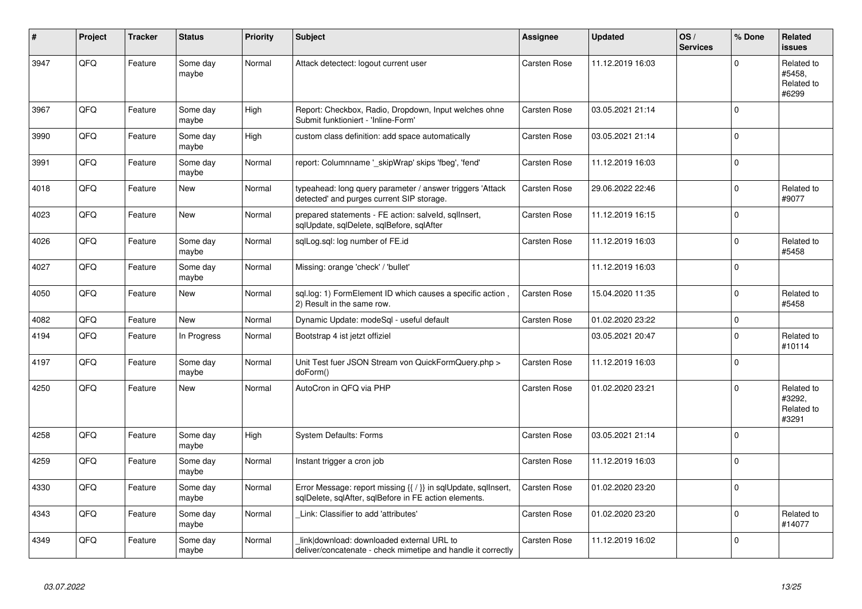| #    | Project | <b>Tracker</b> | <b>Status</b>     | <b>Priority</b> | <b>Subject</b>                                                                                                          | Assignee     | <b>Updated</b>   | OS/<br><b>Services</b> | % Done      | Related<br><b>issues</b>                    |
|------|---------|----------------|-------------------|-----------------|-------------------------------------------------------------------------------------------------------------------------|--------------|------------------|------------------------|-------------|---------------------------------------------|
| 3947 | QFQ     | Feature        | Some day<br>maybe | Normal          | Attack detectect: logout current user                                                                                   | Carsten Rose | 11.12.2019 16:03 |                        | $\mathbf 0$ | Related to<br>#5458.<br>Related to<br>#6299 |
| 3967 | QFQ     | Feature        | Some day<br>maybe | High            | Report: Checkbox, Radio, Dropdown, Input welches ohne<br>Submit funktioniert - 'Inline-Form'                            | Carsten Rose | 03.05.2021 21:14 |                        | $\mathsf 0$ |                                             |
| 3990 | QFQ     | Feature        | Some day<br>maybe | High            | custom class definition: add space automatically                                                                        | Carsten Rose | 03.05.2021 21:14 |                        | $\Omega$    |                                             |
| 3991 | QFQ     | Feature        | Some day<br>maybe | Normal          | report: Columnname '_skipWrap' skips 'fbeg', 'fend'                                                                     | Carsten Rose | 11.12.2019 16:03 |                        | $\mathbf 0$ |                                             |
| 4018 | QFQ     | Feature        | New               | Normal          | typeahead: long query parameter / answer triggers 'Attack<br>detected' and purges current SIP storage.                  | Carsten Rose | 29.06.2022 22:46 |                        | $\mathbf 0$ | Related to<br>#9077                         |
| 4023 | QFQ     | Feature        | New               | Normal          | prepared statements - FE action: salveld, sqlInsert,<br>sglUpdate, sglDelete, sglBefore, sglAfter                       | Carsten Rose | 11.12.2019 16:15 |                        | $\mathbf 0$ |                                             |
| 4026 | QFQ     | Feature        | Some day<br>maybe | Normal          | sglLog.sgl: log number of FE.id                                                                                         | Carsten Rose | 11.12.2019 16:03 |                        | $\mathbf 0$ | Related to<br>#5458                         |
| 4027 | QFQ     | Feature        | Some day<br>maybe | Normal          | Missing: orange 'check' / 'bullet'                                                                                      |              | 11.12.2019 16:03 |                        | $\mathbf 0$ |                                             |
| 4050 | QFQ     | Feature        | <b>New</b>        | Normal          | sql.log: 1) FormElement ID which causes a specific action,<br>2) Result in the same row.                                | Carsten Rose | 15.04.2020 11:35 |                        | $\mathbf 0$ | Related to<br>#5458                         |
| 4082 | QFQ     | Feature        | <b>New</b>        | Normal          | Dynamic Update: modeSql - useful default                                                                                | Carsten Rose | 01.02.2020 23:22 |                        | $\mathbf 0$ |                                             |
| 4194 | QFQ     | Feature        | In Progress       | Normal          | Bootstrap 4 ist jetzt offiziel                                                                                          |              | 03.05.2021 20:47 |                        | $\mathbf 0$ | Related to<br>#10114                        |
| 4197 | QFQ     | Feature        | Some day<br>maybe | Normal          | Unit Test fuer JSON Stream von QuickFormQuery.php ><br>doForm()                                                         | Carsten Rose | 11.12.2019 16:03 |                        | $\mathsf 0$ |                                             |
| 4250 | QFQ     | Feature        | <b>New</b>        | Normal          | AutoCron in QFQ via PHP                                                                                                 | Carsten Rose | 01.02.2020 23:21 |                        | $\mathbf 0$ | Related to<br>#3292,<br>Related to<br>#3291 |
| 4258 | QFQ     | Feature        | Some day<br>maybe | High            | <b>System Defaults: Forms</b>                                                                                           | Carsten Rose | 03.05.2021 21:14 |                        | $\Omega$    |                                             |
| 4259 | QFQ     | Feature        | Some day<br>maybe | Normal          | Instant trigger a cron job                                                                                              | Carsten Rose | 11.12.2019 16:03 |                        | $\mathbf 0$ |                                             |
| 4330 | QFQ     | Feature        | Some day<br>maybe | Normal          | Error Message: report missing {{ / }} in sqlUpdate, sqlInsert,<br>sglDelete, sglAfter, sglBefore in FE action elements. | Carsten Rose | 01.02.2020 23:20 |                        | $\mathbf 0$ |                                             |
| 4343 | QFQ     | Feature        | Some day<br>maybe | Normal          | Link: Classifier to add 'attributes'                                                                                    | Carsten Rose | 01.02.2020 23:20 |                        | $\mathbf 0$ | Related to<br>#14077                        |
| 4349 | QFQ     | Feature        | Some day<br>maybe | Normal          | link download: downloaded external URL to<br>deliver/concatenate - check mimetipe and handle it correctly               | Carsten Rose | 11.12.2019 16:02 |                        | $\mathbf 0$ |                                             |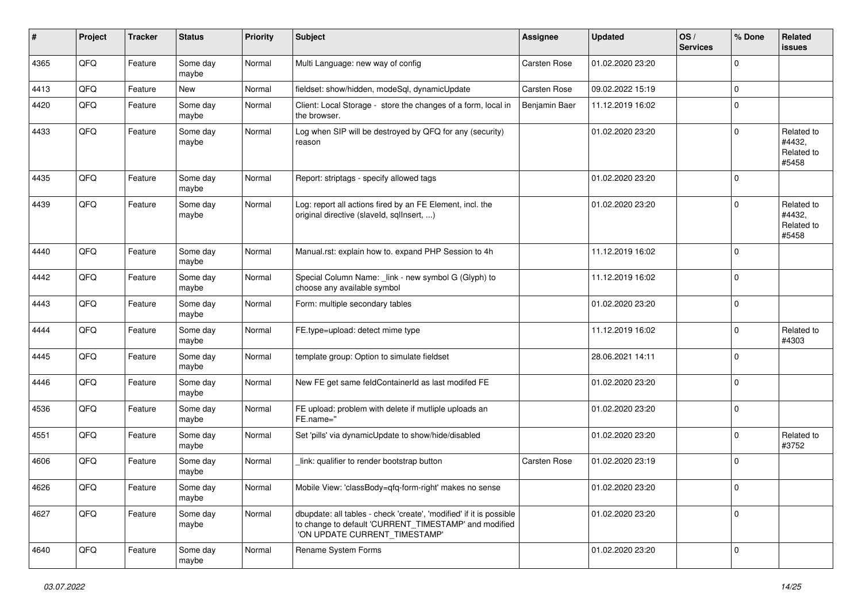| ∦    | Project | <b>Tracker</b> | <b>Status</b>     | <b>Priority</b> | <b>Subject</b>                                                                                                                                                | <b>Assignee</b> | <b>Updated</b>   | OS/<br><b>Services</b> | % Done      | Related<br><b>issues</b>                    |
|------|---------|----------------|-------------------|-----------------|---------------------------------------------------------------------------------------------------------------------------------------------------------------|-----------------|------------------|------------------------|-------------|---------------------------------------------|
| 4365 | QFQ     | Feature        | Some day<br>maybe | Normal          | Multi Language: new way of config                                                                                                                             | Carsten Rose    | 01.02.2020 23:20 |                        | $\mathbf 0$ |                                             |
| 4413 | QFQ     | Feature        | New               | Normal          | fieldset: show/hidden, modeSql, dynamicUpdate                                                                                                                 | Carsten Rose    | 09.02.2022 15:19 |                        | $\mathbf 0$ |                                             |
| 4420 | QFQ     | Feature        | Some day<br>maybe | Normal          | Client: Local Storage - store the changes of a form, local in<br>the browser.                                                                                 | Benjamin Baer   | 11.12.2019 16:02 |                        | $\mathbf 0$ |                                             |
| 4433 | QFQ     | Feature        | Some day<br>maybe | Normal          | Log when SIP will be destroyed by QFQ for any (security)<br>reason                                                                                            |                 | 01.02.2020 23:20 |                        | $\mathbf 0$ | Related to<br>#4432,<br>Related to<br>#5458 |
| 4435 | QFQ     | Feature        | Some day<br>maybe | Normal          | Report: striptags - specify allowed tags                                                                                                                      |                 | 01.02.2020 23:20 |                        | $\mathbf 0$ |                                             |
| 4439 | QFQ     | Feature        | Some day<br>maybe | Normal          | Log: report all actions fired by an FE Element, incl. the<br>original directive (slaveld, sqllnsert, )                                                        |                 | 01.02.2020 23:20 |                        | $\mathbf 0$ | Related to<br>#4432,<br>Related to<br>#5458 |
| 4440 | QFQ     | Feature        | Some day<br>maybe | Normal          | Manual.rst: explain how to. expand PHP Session to 4h                                                                                                          |                 | 11.12.2019 16:02 |                        | $\mathbf 0$ |                                             |
| 4442 | QFQ     | Feature        | Some day<br>maybe | Normal          | Special Column Name: _link - new symbol G (Glyph) to<br>choose any available symbol                                                                           |                 | 11.12.2019 16:02 |                        | $\mathbf 0$ |                                             |
| 4443 | QFQ     | Feature        | Some day<br>maybe | Normal          | Form: multiple secondary tables                                                                                                                               |                 | 01.02.2020 23:20 |                        | $\mathbf 0$ |                                             |
| 4444 | QFQ     | Feature        | Some day<br>maybe | Normal          | FE.type=upload: detect mime type                                                                                                                              |                 | 11.12.2019 16:02 |                        | $\mathbf 0$ | Related to<br>#4303                         |
| 4445 | QFQ     | Feature        | Some day<br>maybe | Normal          | template group: Option to simulate fieldset                                                                                                                   |                 | 28.06.2021 14:11 |                        | $\mathbf 0$ |                                             |
| 4446 | QFQ     | Feature        | Some day<br>maybe | Normal          | New FE get same feldContainerId as last modifed FE                                                                                                            |                 | 01.02.2020 23:20 |                        | $\mathbf 0$ |                                             |
| 4536 | QFQ     | Feature        | Some day<br>maybe | Normal          | FE upload: problem with delete if mutliple uploads an<br>FE.name="                                                                                            |                 | 01.02.2020 23:20 |                        | $\mathbf 0$ |                                             |
| 4551 | QFQ     | Feature        | Some day<br>maybe | Normal          | Set 'pills' via dynamicUpdate to show/hide/disabled                                                                                                           |                 | 01.02.2020 23:20 |                        | $\mathbf 0$ | Related to<br>#3752                         |
| 4606 | QFQ     | Feature        | Some day<br>maybe | Normal          | link: qualifier to render bootstrap button                                                                                                                    | Carsten Rose    | 01.02.2020 23:19 |                        | $\mathbf 0$ |                                             |
| 4626 | QFQ     | Feature        | Some day<br>maybe | Normal          | Mobile View: 'classBody=qfq-form-right' makes no sense                                                                                                        |                 | 01.02.2020 23:20 |                        | 0           |                                             |
| 4627 | QFQ     | Feature        | Some day<br>maybe | Normal          | dbupdate: all tables - check 'create', 'modified' if it is possible<br>to change to default 'CURRENT TIMESTAMP' and modified<br>'ON UPDATE CURRENT_TIMESTAMP' |                 | 01.02.2020 23:20 |                        | $\mathbf 0$ |                                             |
| 4640 | QFQ     | Feature        | Some day<br>maybe | Normal          | Rename System Forms                                                                                                                                           |                 | 01.02.2020 23:20 |                        | $\mathbf 0$ |                                             |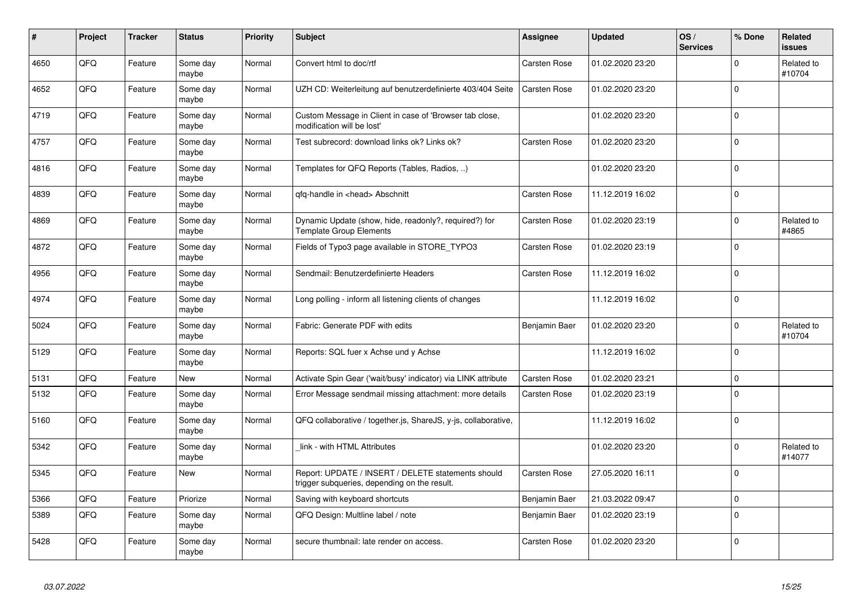| $\pmb{\sharp}$ | Project | <b>Tracker</b> | <b>Status</b>     | <b>Priority</b> | <b>Subject</b>                                                                                     | Assignee      | <b>Updated</b>   | OS/<br><b>Services</b> | % Done      | Related<br><b>issues</b> |
|----------------|---------|----------------|-------------------|-----------------|----------------------------------------------------------------------------------------------------|---------------|------------------|------------------------|-------------|--------------------------|
| 4650           | QFQ     | Feature        | Some day<br>maybe | Normal          | Convert html to doc/rtf                                                                            | Carsten Rose  | 01.02.2020 23:20 |                        | $\Omega$    | Related to<br>#10704     |
| 4652           | QFQ     | Feature        | Some day<br>maybe | Normal          | UZH CD: Weiterleitung auf benutzerdefinierte 403/404 Seite                                         | Carsten Rose  | 01.02.2020 23:20 |                        | $\Omega$    |                          |
| 4719           | QFQ     | Feature        | Some day<br>maybe | Normal          | Custom Message in Client in case of 'Browser tab close,<br>modification will be lost'              |               | 01.02.2020 23:20 |                        | $\mathbf 0$ |                          |
| 4757           | QFQ     | Feature        | Some day<br>maybe | Normal          | Test subrecord: download links ok? Links ok?                                                       | Carsten Rose  | 01.02.2020 23:20 |                        | $\Omega$    |                          |
| 4816           | QFQ     | Feature        | Some day<br>maybe | Normal          | Templates for QFQ Reports (Tables, Radios, )                                                       |               | 01.02.2020 23:20 |                        | $\Omega$    |                          |
| 4839           | QFQ     | Feature        | Some day<br>maybe | Normal          | qfq-handle in <head> Abschnitt</head>                                                              | Carsten Rose  | 11.12.2019 16:02 |                        | l o         |                          |
| 4869           | QFQ     | Feature        | Some day<br>maybe | Normal          | Dynamic Update (show, hide, readonly?, required?) for<br><b>Template Group Elements</b>            | Carsten Rose  | 01.02.2020 23:19 |                        | $\Omega$    | Related to<br>#4865      |
| 4872           | QFQ     | Feature        | Some day<br>maybe | Normal          | Fields of Typo3 page available in STORE_TYPO3                                                      | Carsten Rose  | 01.02.2020 23:19 |                        | $\Omega$    |                          |
| 4956           | QFQ     | Feature        | Some day<br>maybe | Normal          | Sendmail: Benutzerdefinierte Headers                                                               | Carsten Rose  | 11.12.2019 16:02 |                        | $\mathbf 0$ |                          |
| 4974           | QFQ     | Feature        | Some day<br>maybe | Normal          | Long polling - inform all listening clients of changes                                             |               | 11.12.2019 16:02 |                        | $\Omega$    |                          |
| 5024           | QFQ     | Feature        | Some day<br>maybe | Normal          | Fabric: Generate PDF with edits                                                                    | Benjamin Baer | 01.02.2020 23:20 |                        | $\Omega$    | Related to<br>#10704     |
| 5129           | QFQ     | Feature        | Some day<br>maybe | Normal          | Reports: SQL fuer x Achse und y Achse                                                              |               | 11.12.2019 16:02 |                        | $\mathbf 0$ |                          |
| 5131           | QFQ     | Feature        | New               | Normal          | Activate Spin Gear ('wait/busy' indicator) via LINK attribute                                      | Carsten Rose  | 01.02.2020 23:21 |                        | $\mathbf 0$ |                          |
| 5132           | QFQ     | Feature        | Some day<br>maybe | Normal          | Error Message sendmail missing attachment: more details                                            | Carsten Rose  | 01.02.2020 23:19 |                        | $\mathbf 0$ |                          |
| 5160           | QFQ     | Feature        | Some day<br>maybe | Normal          | QFQ collaborative / together.js, ShareJS, y-js, collaborative,                                     |               | 11.12.2019 16:02 |                        | $\Omega$    |                          |
| 5342           | QFQ     | Feature        | Some day<br>maybe | Normal          | link - with HTML Attributes                                                                        |               | 01.02.2020 23:20 |                        | $\Omega$    | Related to<br>#14077     |
| 5345           | QFQ     | Feature        | New               | Normal          | Report: UPDATE / INSERT / DELETE statements should<br>trigger subqueries, depending on the result. | Carsten Rose  | 27.05.2020 16:11 |                        | $\Omega$    |                          |
| 5366           | QFQ     | Feature        | Priorize          | Normal          | Saving with keyboard shortcuts                                                                     | Benjamin Baer | 21.03.2022 09:47 |                        | $\mathbf 0$ |                          |
| 5389           | QFQ     | Feature        | Some day<br>maybe | Normal          | QFQ Design: Multline label / note                                                                  | Benjamin Baer | 01.02.2020 23:19 |                        | $\mathbf 0$ |                          |
| 5428           | QFQ     | Feature        | Some day<br>maybe | Normal          | secure thumbnail: late render on access.                                                           | Carsten Rose  | 01.02.2020 23:20 |                        | $\Omega$    |                          |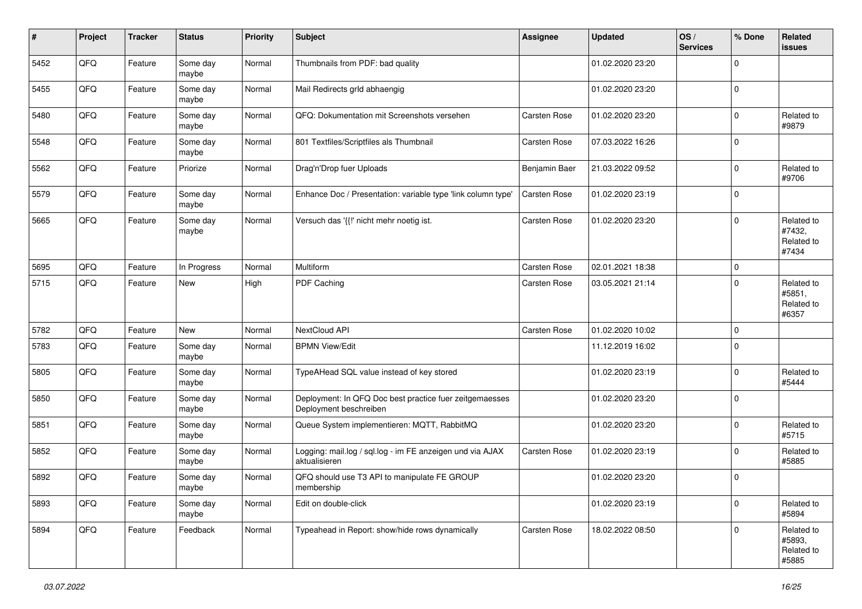| #    | Project | <b>Tracker</b> | <b>Status</b>     | <b>Priority</b> | <b>Subject</b>                                                                    | <b>Assignee</b> | <b>Updated</b>   | OS/<br><b>Services</b> | % Done      | Related<br><b>issues</b>                    |
|------|---------|----------------|-------------------|-----------------|-----------------------------------------------------------------------------------|-----------------|------------------|------------------------|-------------|---------------------------------------------|
| 5452 | QFQ     | Feature        | Some day<br>maybe | Normal          | Thumbnails from PDF: bad quality                                                  |                 | 01.02.2020 23:20 |                        | $\mathbf 0$ |                                             |
| 5455 | QFQ     | Feature        | Some day<br>maybe | Normal          | Mail Redirects grld abhaengig                                                     |                 | 01.02.2020 23:20 |                        | $\mathbf 0$ |                                             |
| 5480 | QFQ     | Feature        | Some day<br>maybe | Normal          | QFQ: Dokumentation mit Screenshots versehen                                       | Carsten Rose    | 01.02.2020 23:20 |                        | $\mathbf 0$ | Related to<br>#9879                         |
| 5548 | QFQ     | Feature        | Some day<br>maybe | Normal          | 801 Textfiles/Scriptfiles als Thumbnail                                           | Carsten Rose    | 07.03.2022 16:26 |                        | $\mathbf 0$ |                                             |
| 5562 | QFQ     | Feature        | Priorize          | Normal          | Drag'n'Drop fuer Uploads                                                          | Benjamin Baer   | 21.03.2022 09:52 |                        | $\mathbf 0$ | Related to<br>#9706                         |
| 5579 | QFQ     | Feature        | Some day<br>maybe | Normal          | Enhance Doc / Presentation: variable type 'link column type'                      | Carsten Rose    | 01.02.2020 23:19 |                        | $\mathbf 0$ |                                             |
| 5665 | QFQ     | Feature        | Some day<br>maybe | Normal          | Versuch das '{{!' nicht mehr noetig ist.                                          | Carsten Rose    | 01.02.2020 23:20 |                        | $\mathbf 0$ | Related to<br>#7432,<br>Related to<br>#7434 |
| 5695 | QFQ     | Feature        | In Progress       | Normal          | Multiform                                                                         | Carsten Rose    | 02.01.2021 18:38 |                        | $\mathbf 0$ |                                             |
| 5715 | QFQ     | Feature        | New               | High            | PDF Caching                                                                       | Carsten Rose    | 03.05.2021 21:14 |                        | $\mathbf 0$ | Related to<br>#5851,<br>Related to<br>#6357 |
| 5782 | QFQ     | Feature        | New               | Normal          | NextCloud API                                                                     | Carsten Rose    | 01.02.2020 10:02 |                        | $\mathbf 0$ |                                             |
| 5783 | QFQ     | Feature        | Some day<br>maybe | Normal          | <b>BPMN View/Edit</b>                                                             |                 | 11.12.2019 16:02 |                        | $\mathbf 0$ |                                             |
| 5805 | QFQ     | Feature        | Some day<br>maybe | Normal          | TypeAHead SQL value instead of key stored                                         |                 | 01.02.2020 23:19 |                        | $\mathbf 0$ | Related to<br>#5444                         |
| 5850 | QFQ     | Feature        | Some day<br>maybe | Normal          | Deployment: In QFQ Doc best practice fuer zeitgemaesses<br>Deployment beschreiben |                 | 01.02.2020 23:20 |                        | $\mathbf 0$ |                                             |
| 5851 | QFQ     | Feature        | Some day<br>maybe | Normal          | Queue System implementieren: MQTT, RabbitMQ                                       |                 | 01.02.2020 23:20 |                        | $\mathbf 0$ | Related to<br>#5715                         |
| 5852 | QFQ     | Feature        | Some day<br>maybe | Normal          | Logging: mail.log / sql.log - im FE anzeigen und via AJAX<br>aktualisieren        | Carsten Rose    | 01.02.2020 23:19 |                        | $\mathbf 0$ | Related to<br>#5885                         |
| 5892 | QFQ     | Feature        | Some day<br>maybe | Normal          | QFQ should use T3 API to manipulate FE GROUP<br>membership                        |                 | 01.02.2020 23:20 |                        | $\mathbf 0$ |                                             |
| 5893 | QFQ     | Feature        | Some day<br>maybe | Normal          | Edit on double-click                                                              |                 | 01.02.2020 23:19 |                        | $\mathbf 0$ | Related to<br>#5894                         |
| 5894 | QFO     | Feature        | Feedback          | Normal          | Typeahead in Report: show/hide rows dynamically                                   | Carsten Rose    | 18.02.2022 08:50 |                        | $\mathsf 0$ | Related to<br>#5893,<br>Related to<br>#5885 |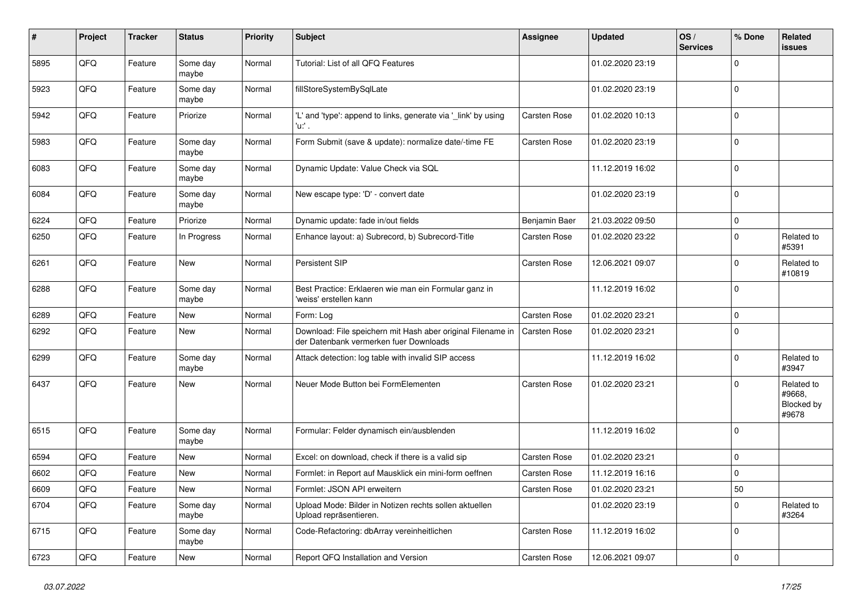| $\sharp$ | Project | <b>Tracker</b> | <b>Status</b>     | <b>Priority</b> | <b>Subject</b>                                                                                        | <b>Assignee</b>     | <b>Updated</b>   | OS/<br><b>Services</b> | % Done      | Related<br><b>issues</b>                    |
|----------|---------|----------------|-------------------|-----------------|-------------------------------------------------------------------------------------------------------|---------------------|------------------|------------------------|-------------|---------------------------------------------|
| 5895     | QFQ     | Feature        | Some day<br>maybe | Normal          | Tutorial: List of all QFQ Features                                                                    |                     | 01.02.2020 23:19 |                        | $\Omega$    |                                             |
| 5923     | QFQ     | Feature        | Some day<br>maybe | Normal          | fillStoreSystemBySqlLate                                                                              |                     | 01.02.2020 23:19 |                        | $\mathbf 0$ |                                             |
| 5942     | QFQ     | Feature        | Priorize          | Normal          | 'L' and 'type': append to links, generate via '_link' by using<br>'u:' .                              | Carsten Rose        | 01.02.2020 10:13 |                        | $\Omega$    |                                             |
| 5983     | QFQ     | Feature        | Some day<br>maybe | Normal          | Form Submit (save & update): normalize date/-time FE                                                  | <b>Carsten Rose</b> | 01.02.2020 23:19 |                        | $\mathbf 0$ |                                             |
| 6083     | QFQ     | Feature        | Some day<br>maybe | Normal          | Dynamic Update: Value Check via SQL                                                                   |                     | 11.12.2019 16:02 |                        | $\mathbf 0$ |                                             |
| 6084     | QFQ     | Feature        | Some day<br>maybe | Normal          | New escape type: 'D' - convert date                                                                   |                     | 01.02.2020 23:19 |                        | $\Omega$    |                                             |
| 6224     | QFQ     | Feature        | Priorize          | Normal          | Dynamic update: fade in/out fields                                                                    | Benjamin Baer       | 21.03.2022 09:50 |                        | $\mathbf 0$ |                                             |
| 6250     | QFQ     | Feature        | In Progress       | Normal          | Enhance layout: a) Subrecord, b) Subrecord-Title                                                      | Carsten Rose        | 01.02.2020 23:22 |                        | $\mathbf 0$ | Related to<br>#5391                         |
| 6261     | QFQ     | Feature        | New               | Normal          | Persistent SIP                                                                                        | Carsten Rose        | 12.06.2021 09:07 |                        | $\Omega$    | Related to<br>#10819                        |
| 6288     | QFQ     | Feature        | Some day<br>maybe | Normal          | Best Practice: Erklaeren wie man ein Formular ganz in<br>'weiss' erstellen kann                       |                     | 11.12.2019 16:02 |                        | $\Omega$    |                                             |
| 6289     | QFQ     | Feature        | <b>New</b>        | Normal          | Form: Log                                                                                             | Carsten Rose        | 01.02.2020 23:21 |                        | $\mathbf 0$ |                                             |
| 6292     | QFQ     | Feature        | New               | Normal          | Download: File speichern mit Hash aber original Filename in<br>der Datenbank vermerken fuer Downloads | Carsten Rose        | 01.02.2020 23:21 |                        | $\Omega$    |                                             |
| 6299     | QFQ     | Feature        | Some day<br>maybe | Normal          | Attack detection: log table with invalid SIP access                                                   |                     | 11.12.2019 16:02 |                        | $\mathbf 0$ | Related to<br>#3947                         |
| 6437     | QFQ     | Feature        | New               | Normal          | Neuer Mode Button bei FormElementen                                                                   | Carsten Rose        | 01.02.2020 23:21 |                        | 0           | Related to<br>#9668,<br>Blocked by<br>#9678 |
| 6515     | QFQ     | Feature        | Some day<br>maybe | Normal          | Formular: Felder dynamisch ein/ausblenden                                                             |                     | 11.12.2019 16:02 |                        | $\Omega$    |                                             |
| 6594     | QFQ     | Feature        | New               | Normal          | Excel: on download, check if there is a valid sip                                                     | Carsten Rose        | 01.02.2020 23:21 |                        | $\Omega$    |                                             |
| 6602     | QFQ     | Feature        | New               | Normal          | Formlet: in Report auf Mausklick ein mini-form oeffnen                                                | Carsten Rose        | 11.12.2019 16:16 |                        | 0           |                                             |
| 6609     | QFQ     | Feature        | New               | Normal          | Formlet: JSON API erweitern                                                                           | Carsten Rose        | 01.02.2020 23:21 |                        | 50          |                                             |
| 6704     | QFQ     | Feature        | Some day<br>maybe | Normal          | Upload Mode: Bilder in Notizen rechts sollen aktuellen<br>Upload repräsentieren.                      |                     | 01.02.2020 23:19 |                        | $\mathbf 0$ | Related to<br>#3264                         |
| 6715     | QFQ     | Feature        | Some day<br>maybe | Normal          | Code-Refactoring: dbArray vereinheitlichen                                                            | Carsten Rose        | 11.12.2019 16:02 |                        | 0           |                                             |
| 6723     | QFQ     | Feature        | New               | Normal          | Report QFQ Installation and Version                                                                   | Carsten Rose        | 12.06.2021 09:07 |                        | $\mathbf 0$ |                                             |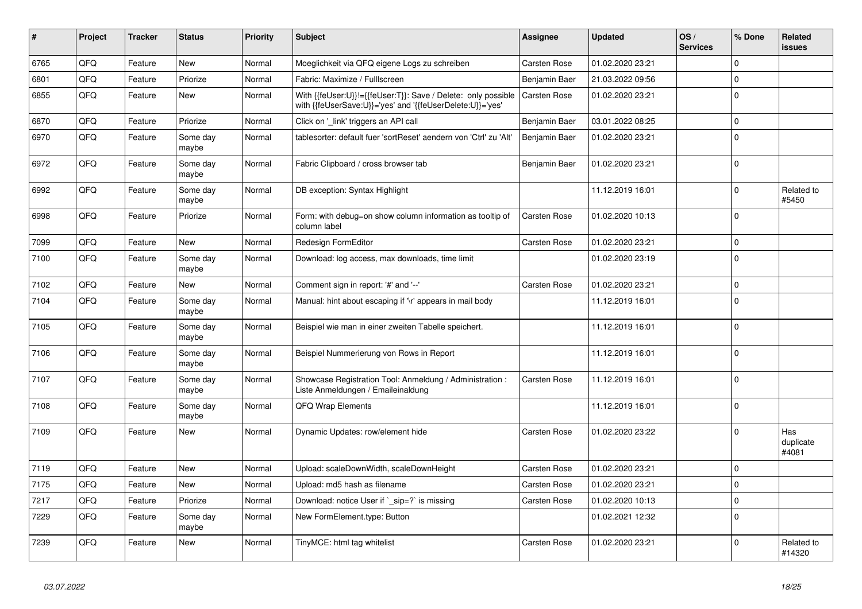| #    | Project | <b>Tracker</b> | <b>Status</b>     | <b>Priority</b> | <b>Subject</b>                                                                                                             | Assignee            | <b>Updated</b>   | OS/<br><b>Services</b> | % Done      | Related<br><b>issues</b>  |
|------|---------|----------------|-------------------|-----------------|----------------------------------------------------------------------------------------------------------------------------|---------------------|------------------|------------------------|-------------|---------------------------|
| 6765 | QFQ     | Feature        | New               | Normal          | Moeglichkeit via QFQ eigene Logs zu schreiben                                                                              | Carsten Rose        | 01.02.2020 23:21 |                        | $\Omega$    |                           |
| 6801 | QFQ     | Feature        | Priorize          | Normal          | Fabric: Maximize / FullIscreen                                                                                             | Benjamin Baer       | 21.03.2022 09:56 |                        | $\Omega$    |                           |
| 6855 | QFQ     | Feature        | New               | Normal          | With {{feUser:U}}!={{feUser:T}}: Save / Delete: only possible<br>with {{feUserSave:U}}='yes' and '{{feUserDelete:U}}='yes' | <b>Carsten Rose</b> | 01.02.2020 23:21 |                        | $\Omega$    |                           |
| 6870 | QFQ     | Feature        | Priorize          | Normal          | Click on 'link' triggers an API call                                                                                       | Benjamin Baer       | 03.01.2022 08:25 |                        | $\Omega$    |                           |
| 6970 | QFQ     | Feature        | Some day<br>maybe | Normal          | tablesorter: default fuer 'sortReset' aendern von 'Ctrl' zu 'Alt'                                                          | Benjamin Baer       | 01.02.2020 23:21 |                        | $\Omega$    |                           |
| 6972 | QFQ     | Feature        | Some day<br>maybe | Normal          | Fabric Clipboard / cross browser tab                                                                                       | Benjamin Baer       | 01.02.2020 23:21 |                        | $\Omega$    |                           |
| 6992 | QFQ     | Feature        | Some day<br>maybe | Normal          | DB exception: Syntax Highlight                                                                                             |                     | 11.12.2019 16:01 |                        | $\Omega$    | Related to<br>#5450       |
| 6998 | QFQ     | Feature        | Priorize          | Normal          | Form: with debug=on show column information as tooltip of<br>column label                                                  | Carsten Rose        | 01.02.2020 10:13 |                        | $\Omega$    |                           |
| 7099 | QFQ     | Feature        | <b>New</b>        | Normal          | Redesign FormEditor                                                                                                        | Carsten Rose        | 01.02.2020 23:21 |                        | 0           |                           |
| 7100 | QFQ     | Feature        | Some day<br>maybe | Normal          | Download: log access, max downloads, time limit                                                                            |                     | 01.02.2020 23:19 |                        | $\Omega$    |                           |
| 7102 | QFQ     | Feature        | New               | Normal          | Comment sign in report: '#' and '--'                                                                                       | Carsten Rose        | 01.02.2020 23:21 |                        | $\Omega$    |                           |
| 7104 | QFQ     | Feature        | Some day<br>maybe | Normal          | Manual: hint about escaping if '\r' appears in mail body                                                                   |                     | 11.12.2019 16:01 |                        | $\Omega$    |                           |
| 7105 | QFQ     | Feature        | Some day<br>maybe | Normal          | Beispiel wie man in einer zweiten Tabelle speichert.                                                                       |                     | 11.12.2019 16:01 |                        | $\Omega$    |                           |
| 7106 | QFQ     | Feature        | Some day<br>maybe | Normal          | Beispiel Nummerierung von Rows in Report                                                                                   |                     | 11.12.2019 16:01 |                        | $\Omega$    |                           |
| 7107 | QFQ     | Feature        | Some day<br>maybe | Normal          | Showcase Registration Tool: Anmeldung / Administration :<br>Liste Anmeldungen / Emaileinaldung                             | Carsten Rose        | 11.12.2019 16:01 |                        | $\mathbf 0$ |                           |
| 7108 | QFQ     | Feature        | Some dav<br>maybe | Normal          | <b>QFQ Wrap Elements</b>                                                                                                   |                     | 11.12.2019 16:01 |                        | $\Omega$    |                           |
| 7109 | QFQ     | Feature        | New               | Normal          | Dynamic Updates: row/element hide                                                                                          | Carsten Rose        | 01.02.2020 23:22 |                        | $\Omega$    | Has<br>duplicate<br>#4081 |
| 7119 | QFQ     | Feature        | New               | Normal          | Upload: scaleDownWidth, scaleDownHeight                                                                                    | Carsten Rose        | 01.02.2020 23:21 |                        | $\mathbf 0$ |                           |
| 7175 | QFQ     | Feature        | New               | Normal          | Upload: md5 hash as filename                                                                                               | Carsten Rose        | 01.02.2020 23:21 |                        | $\Omega$    |                           |
| 7217 | QFQ     | Feature        | Priorize          | Normal          | Download: notice User if ` sip=?` is missing                                                                               | Carsten Rose        | 01.02.2020 10:13 |                        | $\Omega$    |                           |
| 7229 | QFQ     | Feature        | Some day<br>maybe | Normal          | New FormElement.type: Button                                                                                               |                     | 01.02.2021 12:32 |                        | $\Omega$    |                           |
| 7239 | QFQ     | Feature        | New               | Normal          | TinyMCE: html tag whitelist                                                                                                | Carsten Rose        | 01.02.2020 23:21 |                        | $\Omega$    | Related to<br>#14320      |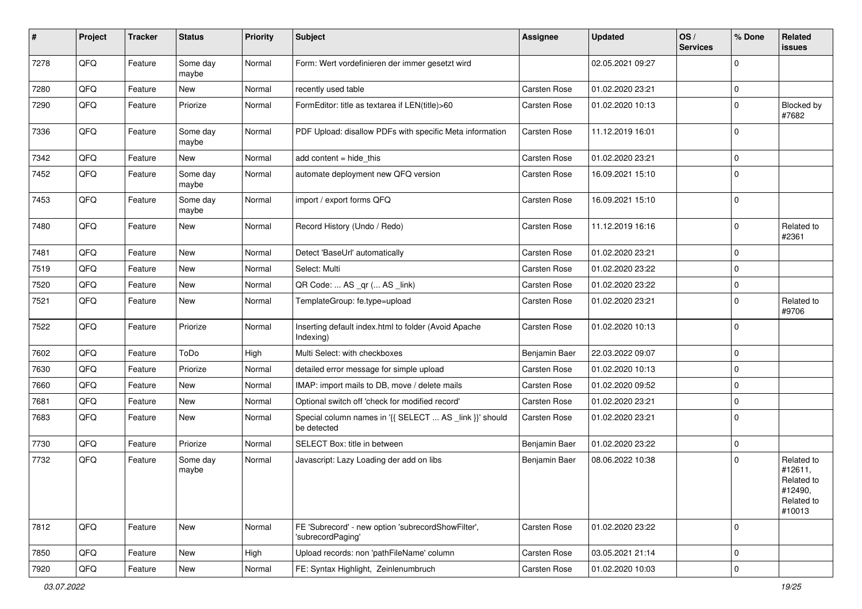| $\sharp$ | Project | <b>Tracker</b> | <b>Status</b>     | <b>Priority</b> | <b>Subject</b>                                                          | <b>Assignee</b> | <b>Updated</b>   | OS/<br><b>Services</b> | % Done      | Related<br>issues                                                      |
|----------|---------|----------------|-------------------|-----------------|-------------------------------------------------------------------------|-----------------|------------------|------------------------|-------------|------------------------------------------------------------------------|
| 7278     | QFQ     | Feature        | Some day<br>maybe | Normal          | Form: Wert vordefinieren der immer gesetzt wird                         |                 | 02.05.2021 09:27 |                        | $\Omega$    |                                                                        |
| 7280     | QFQ     | Feature        | New               | Normal          | recently used table                                                     | Carsten Rose    | 01.02.2020 23:21 |                        | $\mathbf 0$ |                                                                        |
| 7290     | QFQ     | Feature        | Priorize          | Normal          | FormEditor: title as textarea if LEN(title)>60                          | Carsten Rose    | 01.02.2020 10:13 |                        | $\Omega$    | Blocked by<br>#7682                                                    |
| 7336     | QFQ     | Feature        | Some day<br>maybe | Normal          | PDF Upload: disallow PDFs with specific Meta information                | Carsten Rose    | 11.12.2019 16:01 |                        | $\Omega$    |                                                                        |
| 7342     | QFQ     | Feature        | New               | Normal          | add content = hide_this                                                 | Carsten Rose    | 01.02.2020 23:21 |                        | $\Omega$    |                                                                        |
| 7452     | QFQ     | Feature        | Some day<br>maybe | Normal          | automate deployment new QFQ version                                     | Carsten Rose    | 16.09.2021 15:10 |                        | $\mathbf 0$ |                                                                        |
| 7453     | QFQ     | Feature        | Some day<br>maybe | Normal          | import / export forms QFQ                                               | Carsten Rose    | 16.09.2021 15:10 |                        | $\Omega$    |                                                                        |
| 7480     | QFQ     | Feature        | New               | Normal          | Record History (Undo / Redo)                                            | Carsten Rose    | 11.12.2019 16:16 |                        | $\mathbf 0$ | Related to<br>#2361                                                    |
| 7481     | QFQ     | Feature        | <b>New</b>        | Normal          | Detect 'BaseUrl' automatically                                          | Carsten Rose    | 01.02.2020 23:21 |                        | $\Omega$    |                                                                        |
| 7519     | QFQ     | Feature        | New               | Normal          | Select: Multi                                                           | Carsten Rose    | 01.02.2020 23:22 |                        | $\Omega$    |                                                                        |
| 7520     | QFQ     | Feature        | New               | Normal          | QR Code:  AS _qr ( AS _link)                                            | Carsten Rose    | 01.02.2020 23:22 |                        | $\mathbf 0$ |                                                                        |
| 7521     | QFQ     | Feature        | New               | Normal          | TemplateGroup: fe.type=upload                                           | Carsten Rose    | 01.02.2020 23:21 |                        | $\mathbf 0$ | Related to<br>#9706                                                    |
| 7522     | QFQ     | Feature        | Priorize          | Normal          | Inserting default index.html to folder (Avoid Apache<br>Indexing)       | Carsten Rose    | 01.02.2020 10:13 |                        | $\Omega$    |                                                                        |
| 7602     | QFQ     | Feature        | ToDo              | High            | Multi Select: with checkboxes                                           | Benjamin Baer   | 22.03.2022 09:07 |                        | $\mathbf 0$ |                                                                        |
| 7630     | QFQ     | Feature        | Priorize          | Normal          | detailed error message for simple upload                                | Carsten Rose    | 01.02.2020 10:13 |                        | $\mathbf 0$ |                                                                        |
| 7660     | QFQ     | Feature        | New               | Normal          | IMAP: import mails to DB, move / delete mails                           | Carsten Rose    | 01.02.2020 09:52 |                        | 0           |                                                                        |
| 7681     | QFQ     | Feature        | New               | Normal          | Optional switch off 'check for modified record'                         | Carsten Rose    | 01.02.2020 23:21 |                        | $\mathbf 0$ |                                                                        |
| 7683     | QFQ     | Feature        | New               | Normal          | Special column names in '{{ SELECT  AS _link }}' should<br>be detected  | Carsten Rose    | 01.02.2020 23:21 |                        | $\mathbf 0$ |                                                                        |
| 7730     | QFQ     | Feature        | Priorize          | Normal          | SELECT Box: title in between                                            | Benjamin Baer   | 01.02.2020 23:22 |                        | $\mathbf 0$ |                                                                        |
| 7732     | QFQ     | Feature        | Some day<br>maybe | Normal          | Javascript: Lazy Loading der add on libs                                | Benjamin Baer   | 08.06.2022 10:38 |                        | $\Omega$    | Related to<br>#12611,<br>Related to<br>#12490,<br>Related to<br>#10013 |
| 7812     | QFQ     | Feature        | New               | Normal          | FE 'Subrecord' - new option 'subrecordShowFilter',<br>'subrecordPaging' | Carsten Rose    | 01.02.2020 23:22 |                        | $\mathbf 0$ |                                                                        |
| 7850     | QFQ     | Feature        | New               | High            | Upload records: non 'pathFileName' column                               | Carsten Rose    | 03.05.2021 21:14 |                        | $\mathbf 0$ |                                                                        |
| 7920     | QFQ     | Feature        | New               | Normal          | FE: Syntax Highlight, Zeinlenumbruch                                    | Carsten Rose    | 01.02.2020 10:03 |                        | 0           |                                                                        |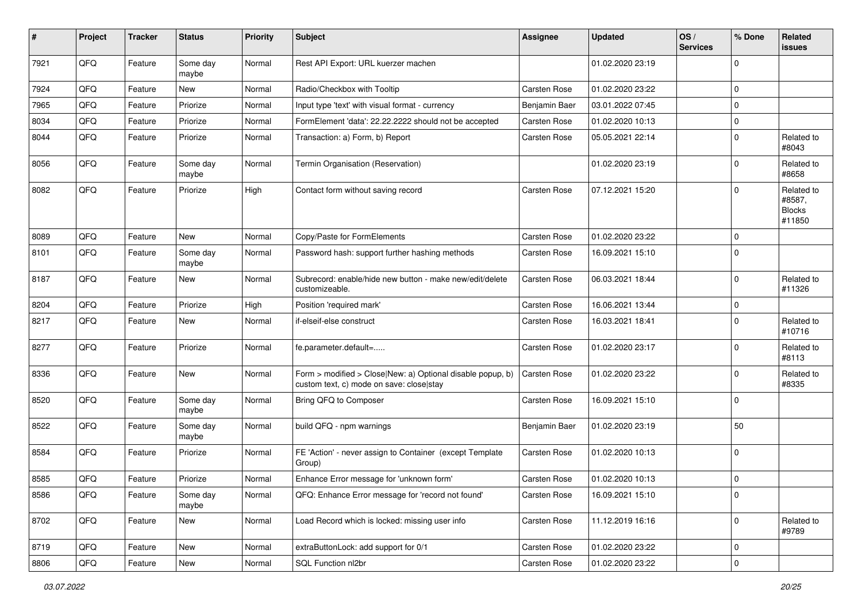| $\sharp$ | Project        | <b>Tracker</b> | <b>Status</b>     | <b>Priority</b> | <b>Subject</b>                                                                                         | <b>Assignee</b> | <b>Updated</b>   | OS/<br><b>Services</b> | % Done      | Related<br>issues                               |
|----------|----------------|----------------|-------------------|-----------------|--------------------------------------------------------------------------------------------------------|-----------------|------------------|------------------------|-------------|-------------------------------------------------|
| 7921     | QFQ            | Feature        | Some day<br>maybe | Normal          | Rest API Export: URL kuerzer machen                                                                    |                 | 01.02.2020 23:19 |                        | $\mathbf 0$ |                                                 |
| 7924     | QFQ            | Feature        | New               | Normal          | Radio/Checkbox with Tooltip                                                                            | Carsten Rose    | 01.02.2020 23:22 |                        | $\mathbf 0$ |                                                 |
| 7965     | QFQ            | Feature        | Priorize          | Normal          | Input type 'text' with visual format - currency                                                        | Benjamin Baer   | 03.01.2022 07:45 |                        | $\mathbf 0$ |                                                 |
| 8034     | QFQ            | Feature        | Priorize          | Normal          | FormElement 'data': 22.22.2222 should not be accepted                                                  | Carsten Rose    | 01.02.2020 10:13 |                        | $\mathbf 0$ |                                                 |
| 8044     | QFQ            | Feature        | Priorize          | Normal          | Transaction: a) Form, b) Report                                                                        | Carsten Rose    | 05.05.2021 22:14 |                        | $\mathbf 0$ | Related to<br>#8043                             |
| 8056     | QFQ            | Feature        | Some day<br>maybe | Normal          | Termin Organisation (Reservation)                                                                      |                 | 01.02.2020 23:19 |                        | $\mathbf 0$ | Related to<br>#8658                             |
| 8082     | QFQ            | Feature        | Priorize          | High            | Contact form without saving record                                                                     | Carsten Rose    | 07.12.2021 15:20 |                        | $\mathbf 0$ | Related to<br>#8587,<br><b>Blocks</b><br>#11850 |
| 8089     | QFQ            | Feature        | New               | Normal          | Copy/Paste for FormElements                                                                            | Carsten Rose    | 01.02.2020 23:22 |                        | $\mathbf 0$ |                                                 |
| 8101     | QFQ            | Feature        | Some day<br>maybe | Normal          | Password hash: support further hashing methods                                                         | Carsten Rose    | 16.09.2021 15:10 |                        | $\mathbf 0$ |                                                 |
| 8187     | QFQ            | Feature        | New               | Normal          | Subrecord: enable/hide new button - make new/edit/delete<br>customizeable.                             | Carsten Rose    | 06.03.2021 18:44 |                        | $\mathbf 0$ | Related to<br>#11326                            |
| 8204     | QFQ            | Feature        | Priorize          | High            | Position 'required mark'                                                                               | Carsten Rose    | 16.06.2021 13:44 |                        | $\mathbf 0$ |                                                 |
| 8217     | QFQ            | Feature        | New               | Normal          | if-elseif-else construct                                                                               | Carsten Rose    | 16.03.2021 18:41 |                        | $\mathbf 0$ | Related to<br>#10716                            |
| 8277     | QFQ            | Feature        | Priorize          | Normal          | fe.parameter.default=                                                                                  | Carsten Rose    | 01.02.2020 23:17 |                        | $\mathbf 0$ | Related to<br>#8113                             |
| 8336     | QFQ            | Feature        | New               | Normal          | Form > modified > Close New: a) Optional disable popup, b)<br>custom text, c) mode on save: close stay | Carsten Rose    | 01.02.2020 23:22 |                        | $\mathbf 0$ | Related to<br>#8335                             |
| 8520     | QFQ            | Feature        | Some day<br>maybe | Normal          | Bring QFQ to Composer                                                                                  | Carsten Rose    | 16.09.2021 15:10 |                        | $\mathbf 0$ |                                                 |
| 8522     | QFQ            | Feature        | Some day<br>maybe | Normal          | build QFQ - npm warnings                                                                               | Benjamin Baer   | 01.02.2020 23:19 |                        | 50          |                                                 |
| 8584     | QFQ            | Feature        | Priorize          | Normal          | FE 'Action' - never assign to Container (except Template<br>Group)                                     | Carsten Rose    | 01.02.2020 10:13 |                        | $\mathbf 0$ |                                                 |
| 8585     | QFQ            | Feature        | Priorize          | Normal          | Enhance Error message for 'unknown form'                                                               | Carsten Rose    | 01.02.2020 10:13 |                        | $\mathbf 0$ |                                                 |
| 8586     | QFG            | Feature        | Some day<br>maybe | Normal          | QFQ: Enhance Error message for 'record not found'                                                      | Carsten Rose    | 16.09.2021 15:10 |                        | $\pmb{0}$   |                                                 |
| 8702     | QFG            | Feature        | New               | Normal          | Load Record which is locked: missing user info                                                         | Carsten Rose    | 11.12.2019 16:16 |                        | $\mathbf 0$ | Related to<br>#9789                             |
| 8719     | QFO            | Feature        | New               | Normal          | extraButtonLock: add support for 0/1                                                                   | Carsten Rose    | 01.02.2020 23:22 |                        | 0           |                                                 |
| 8806     | $\mathsf{QFQ}$ | Feature        | New               | Normal          | SQL Function nl2br                                                                                     | Carsten Rose    | 01.02.2020 23:22 |                        | $\mathbf 0$ |                                                 |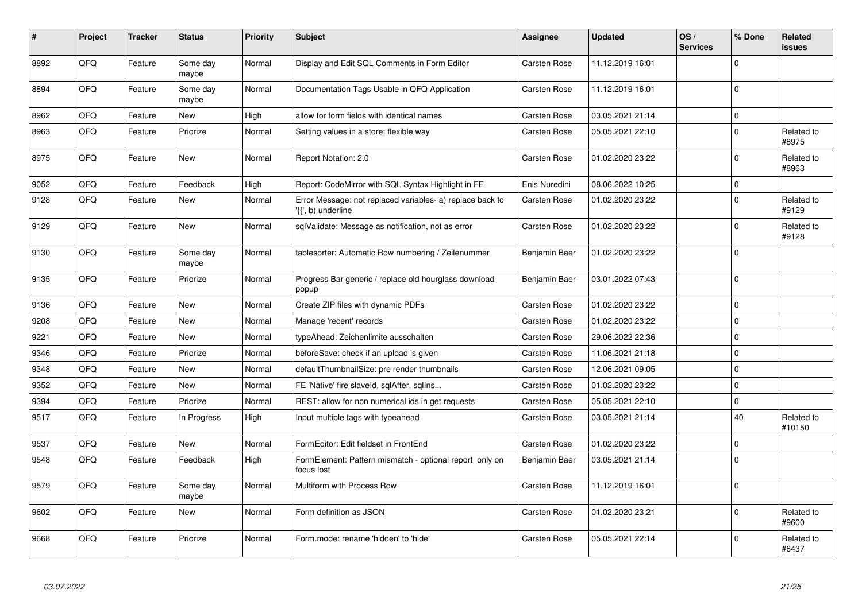| #    | Project | <b>Tracker</b> | <b>Status</b>     | <b>Priority</b> | <b>Subject</b>                                                                  | Assignee      | <b>Updated</b>   | OS/<br><b>Services</b> | % Done      | Related<br><b>issues</b> |
|------|---------|----------------|-------------------|-----------------|---------------------------------------------------------------------------------|---------------|------------------|------------------------|-------------|--------------------------|
| 8892 | QFQ     | Feature        | Some day<br>maybe | Normal          | Display and Edit SQL Comments in Form Editor                                    | Carsten Rose  | 11.12.2019 16:01 |                        | $\mathbf 0$ |                          |
| 8894 | QFQ     | Feature        | Some day<br>maybe | Normal          | Documentation Tags Usable in QFQ Application                                    | Carsten Rose  | 11.12.2019 16:01 |                        | $\mathbf 0$ |                          |
| 8962 | QFQ     | Feature        | New               | High            | allow for form fields with identical names                                      | Carsten Rose  | 03.05.2021 21:14 |                        | $\mathsf 0$ |                          |
| 8963 | QFQ     | Feature        | Priorize          | Normal          | Setting values in a store: flexible way                                         | Carsten Rose  | 05.05.2021 22:10 |                        | $\mathbf 0$ | Related to<br>#8975      |
| 8975 | QFQ     | Feature        | <b>New</b>        | Normal          | Report Notation: 2.0                                                            | Carsten Rose  | 01.02.2020 23:22 |                        | $\mathbf 0$ | Related to<br>#8963      |
| 9052 | QFQ     | Feature        | Feedback          | High            | Report: CodeMirror with SQL Syntax Highlight in FE                              | Enis Nuredini | 08.06.2022 10:25 |                        | $\mathsf 0$ |                          |
| 9128 | QFQ     | Feature        | <b>New</b>        | Normal          | Error Message: not replaced variables- a) replace back to<br>'{{', b) underline | Carsten Rose  | 01.02.2020 23:22 |                        | $\mathbf 0$ | Related to<br>#9129      |
| 9129 | QFQ     | Feature        | <b>New</b>        | Normal          | sqlValidate: Message as notification, not as error                              | Carsten Rose  | 01.02.2020 23:22 |                        | $\mathbf 0$ | Related to<br>#9128      |
| 9130 | QFQ     | Feature        | Some day<br>maybe | Normal          | tablesorter: Automatic Row numbering / Zeilenummer                              | Benjamin Baer | 01.02.2020 23:22 |                        | $\mathbf 0$ |                          |
| 9135 | QFQ     | Feature        | Priorize          | Normal          | Progress Bar generic / replace old hourglass download<br>popup                  | Benjamin Baer | 03.01.2022 07:43 |                        | $\mathbf 0$ |                          |
| 9136 | QFQ     | Feature        | New               | Normal          | Create ZIP files with dynamic PDFs                                              | Carsten Rose  | 01.02.2020 23:22 |                        | $\mathbf 0$ |                          |
| 9208 | QFQ     | Feature        | New               | Normal          | Manage 'recent' records                                                         | Carsten Rose  | 01.02.2020 23:22 |                        | $\mathsf 0$ |                          |
| 9221 | QFQ     | Feature        | New               | Normal          | typeAhead: Zeichenlimite ausschalten                                            | Carsten Rose  | 29.06.2022 22:36 |                        | $\mathbf 0$ |                          |
| 9346 | QFQ     | Feature        | Priorize          | Normal          | beforeSave: check if an upload is given                                         | Carsten Rose  | 11.06.2021 21:18 |                        | $\mathbf 0$ |                          |
| 9348 | QFQ     | Feature        | New               | Normal          | defaultThumbnailSize: pre render thumbnails                                     | Carsten Rose  | 12.06.2021 09:05 |                        | $\mathbf 0$ |                          |
| 9352 | QFQ     | Feature        | <b>New</b>        | Normal          | FE 'Native' fire slaveld, sqlAfter, sqlIns                                      | Carsten Rose  | 01.02.2020 23:22 |                        | $\mathbf 0$ |                          |
| 9394 | QFQ     | Feature        | Priorize          | Normal          | REST: allow for non numerical ids in get requests                               | Carsten Rose  | 05.05.2021 22:10 |                        | $\mathsf 0$ |                          |
| 9517 | QFQ     | Feature        | In Progress       | High            | Input multiple tags with typeahead                                              | Carsten Rose  | 03.05.2021 21:14 |                        | 40          | Related to<br>#10150     |
| 9537 | QFQ     | Feature        | <b>New</b>        | Normal          | FormEditor: Edit fieldset in FrontEnd                                           | Carsten Rose  | 01.02.2020 23:22 |                        | $\mathbf 0$ |                          |
| 9548 | QFQ     | Feature        | Feedback          | High            | FormElement: Pattern mismatch - optional report only on<br>focus lost           | Benjamin Baer | 03.05.2021 21:14 |                        | $\mathbf 0$ |                          |
| 9579 | QFQ     | Feature        | Some day<br>maybe | Normal          | Multiform with Process Row                                                      | Carsten Rose  | 11.12.2019 16:01 |                        | $\Omega$    |                          |
| 9602 | QFQ     | Feature        | <b>New</b>        | Normal          | Form definition as JSON                                                         | Carsten Rose  | 01.02.2020 23:21 |                        | $\mathsf 0$ | Related to<br>#9600      |
| 9668 | QFQ     | Feature        | Priorize          | Normal          | Form.mode: rename 'hidden' to 'hide'                                            | Carsten Rose  | 05.05.2021 22:14 |                        | $\mathbf 0$ | Related to<br>#6437      |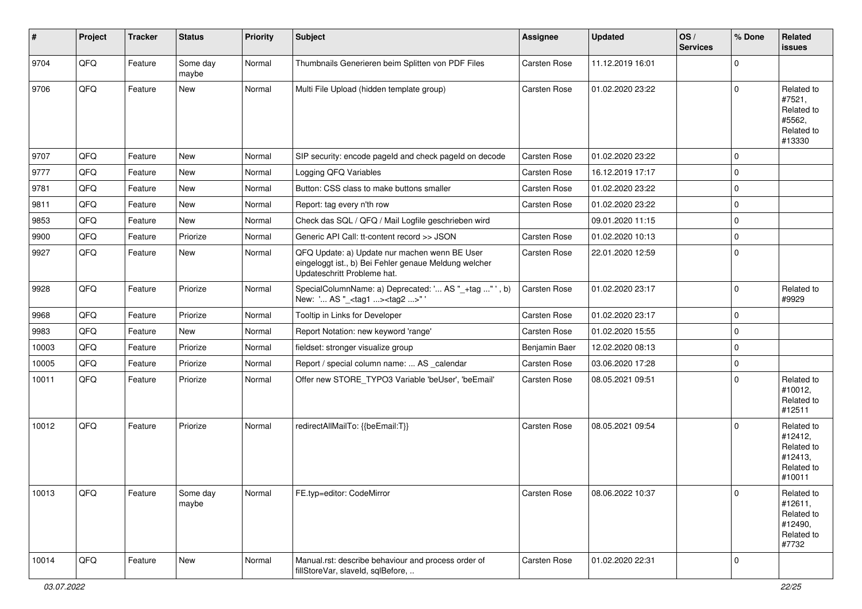| #     | Project | <b>Tracker</b> | <b>Status</b>     | <b>Priority</b> | <b>Subject</b>                                                                                                                        | Assignee      | <b>Updated</b>   | OS/<br><b>Services</b> | % Done      | Related<br><b>issues</b>                                               |
|-------|---------|----------------|-------------------|-----------------|---------------------------------------------------------------------------------------------------------------------------------------|---------------|------------------|------------------------|-------------|------------------------------------------------------------------------|
| 9704  | QFQ     | Feature        | Some day<br>maybe | Normal          | Thumbnails Generieren beim Splitten von PDF Files                                                                                     | Carsten Rose  | 11.12.2019 16:01 |                        | $\Omega$    |                                                                        |
| 9706  | QFQ     | Feature        | New               | Normal          | Multi File Upload (hidden template group)                                                                                             | Carsten Rose  | 01.02.2020 23:22 |                        | $\Omega$    | Related to<br>#7521,<br>Related to<br>#5562,<br>Related to<br>#13330   |
| 9707  | QFQ     | Feature        | New               | Normal          | SIP security: encode pageld and check pageld on decode                                                                                | Carsten Rose  | 01.02.2020 23:22 |                        | $\Omega$    |                                                                        |
| 9777  | QFQ     | Feature        | New               | Normal          | Logging QFQ Variables                                                                                                                 | Carsten Rose  | 16.12.2019 17:17 |                        | $\mathbf 0$ |                                                                        |
| 9781  | QFQ     | Feature        | New               | Normal          | Button: CSS class to make buttons smaller                                                                                             | Carsten Rose  | 01.02.2020 23:22 |                        | $\mathbf 0$ |                                                                        |
| 9811  | QFQ     | Feature        | New               | Normal          | Report: tag every n'th row                                                                                                            | Carsten Rose  | 01.02.2020 23:22 |                        | $\mathbf 0$ |                                                                        |
| 9853  | QFQ     | Feature        | New               | Normal          | Check das SQL / QFQ / Mail Logfile geschrieben wird                                                                                   |               | 09.01.2020 11:15 |                        | $\mathbf 0$ |                                                                        |
| 9900  | QFQ     | Feature        | Priorize          | Normal          | Generic API Call: tt-content record >> JSON                                                                                           | Carsten Rose  | 01.02.2020 10:13 |                        | $\mathbf 0$ |                                                                        |
| 9927  | QFQ     | Feature        | New               | Normal          | QFQ Update: a) Update nur machen wenn BE User<br>eingeloggt ist., b) Bei Fehler genaue Meldung welcher<br>Updateschritt Probleme hat. | Carsten Rose  | 22.01.2020 12:59 |                        | $\Omega$    |                                                                        |
| 9928  | QFQ     | Feature        | Priorize          | Normal          | SpecialColumnName: a) Deprecated: ' AS "_+tag " ', b)<br>New: ' AS "_ <tag1><tag2>"'</tag2></tag1>                                    | Carsten Rose  | 01.02.2020 23:17 |                        | $\Omega$    | Related to<br>#9929                                                    |
| 9968  | QFQ     | Feature        | Priorize          | Normal          | Tooltip in Links for Developer                                                                                                        | Carsten Rose  | 01.02.2020 23:17 |                        | $\mathbf 0$ |                                                                        |
| 9983  | QFQ     | Feature        | New               | Normal          | Report Notation: new keyword 'range'                                                                                                  | Carsten Rose  | 01.02.2020 15:55 |                        | $\mathbf 0$ |                                                                        |
| 10003 | QFQ     | Feature        | Priorize          | Normal          | fieldset: stronger visualize group                                                                                                    | Benjamin Baer | 12.02.2020 08:13 |                        | $\mathbf 0$ |                                                                        |
| 10005 | QFQ     | Feature        | Priorize          | Normal          | Report / special column name:  AS _calendar                                                                                           | Carsten Rose  | 03.06.2020 17:28 |                        | $\mathbf 0$ |                                                                        |
| 10011 | QFQ     | Feature        | Priorize          | Normal          | Offer new STORE_TYPO3 Variable 'beUser', 'beEmail'                                                                                    | Carsten Rose  | 08.05.2021 09:51 |                        | $\Omega$    | Related to<br>#10012,<br>Related to<br>#12511                          |
| 10012 | QFQ     | Feature        | Priorize          | Normal          | redirectAllMailTo: {{beEmail:T}}                                                                                                      | Carsten Rose  | 08.05.2021 09:54 |                        | $\Omega$    | Related to<br>#12412,<br>Related to<br>#12413,<br>Related to<br>#10011 |
| 10013 | QFQ     | Feature        | Some day<br>maybe | Normal          | FE.typ=editor: CodeMirror                                                                                                             | Carsten Rose  | 08.06.2022 10:37 |                        | 0           | Related to<br>#12611,<br>Related to<br>#12490,<br>Related to<br>#7732  |
| 10014 | QFQ     | Feature        | New               | Normal          | Manual.rst: describe behaviour and process order of<br>fillStoreVar, slaveId, sqlBefore,                                              | Carsten Rose  | 01.02.2020 22:31 |                        | 0           |                                                                        |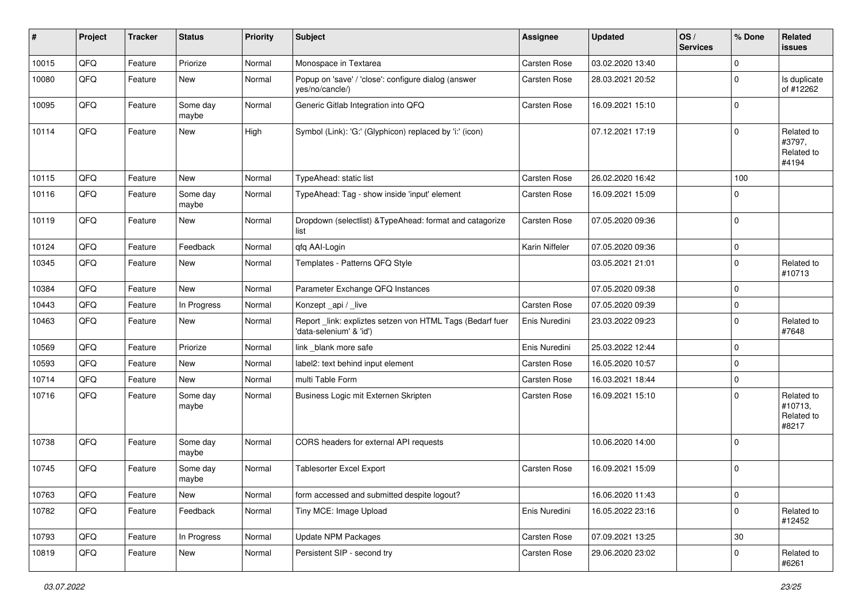| #     | Project | <b>Tracker</b> | <b>Status</b>     | <b>Priority</b> | <b>Subject</b>                                                                      | <b>Assignee</b>     | <b>Updated</b>   | OS/<br><b>Services</b> | % Done              | Related<br><b>issues</b>                     |
|-------|---------|----------------|-------------------|-----------------|-------------------------------------------------------------------------------------|---------------------|------------------|------------------------|---------------------|----------------------------------------------|
| 10015 | QFQ     | Feature        | Priorize          | Normal          | Monospace in Textarea                                                               | Carsten Rose        | 03.02.2020 13:40 |                        | $\mathbf 0$         |                                              |
| 10080 | QFQ     | Feature        | New               | Normal          | Popup on 'save' / 'close': configure dialog (answer<br>yes/no/cancle/)              | Carsten Rose        | 28.03.2021 20:52 |                        | $\mathbf 0$         | Is duplicate<br>of #12262                    |
| 10095 | QFQ     | Feature        | Some day<br>maybe | Normal          | Generic Gitlab Integration into QFQ                                                 | Carsten Rose        | 16.09.2021 15:10 |                        | $\mathbf 0$         |                                              |
| 10114 | QFQ     | Feature        | New               | High            | Symbol (Link): 'G:' (Glyphicon) replaced by 'i:' (icon)                             |                     | 07.12.2021 17:19 |                        | $\mathbf 0$         | Related to<br>#3797,<br>Related to<br>#4194  |
| 10115 | QFQ     | Feature        | New               | Normal          | TypeAhead: static list                                                              | Carsten Rose        | 26.02.2020 16:42 |                        | 100                 |                                              |
| 10116 | QFQ     | Feature        | Some day<br>maybe | Normal          | TypeAhead: Tag - show inside 'input' element                                        | Carsten Rose        | 16.09.2021 15:09 |                        | $\mathbf 0$         |                                              |
| 10119 | QFQ     | Feature        | New               | Normal          | Dropdown (selectlist) & TypeAhead: format and catagorize<br>list                    | Carsten Rose        | 07.05.2020 09:36 |                        | $\mathbf 0$         |                                              |
| 10124 | QFQ     | Feature        | Feedback          | Normal          | qfq AAI-Login                                                                       | Karin Niffeler      | 07.05.2020 09:36 |                        | $\mathbf 0$         |                                              |
| 10345 | QFQ     | Feature        | New               | Normal          | Templates - Patterns QFQ Style                                                      |                     | 03.05.2021 21:01 |                        | $\mathbf 0$         | Related to<br>#10713                         |
| 10384 | QFQ     | Feature        | <b>New</b>        | Normal          | Parameter Exchange QFQ Instances                                                    |                     | 07.05.2020 09:38 |                        | $\mathbf 0$         |                                              |
| 10443 | QFQ     | Feature        | In Progress       | Normal          | Konzept api / live                                                                  | Carsten Rose        | 07.05.2020 09:39 |                        | $\mathbf 0$         |                                              |
| 10463 | QFQ     | Feature        | New               | Normal          | Report link: expliztes setzen von HTML Tags (Bedarf fuer<br>'data-selenium' & 'id') | Enis Nuredini       | 23.03.2022 09:23 |                        | $\mathbf 0$         | Related to<br>#7648                          |
| 10569 | QFQ     | Feature        | Priorize          | Normal          | link _blank more safe                                                               | Enis Nuredini       | 25.03.2022 12:44 |                        | $\mathbf 0$         |                                              |
| 10593 | QFQ     | Feature        | New               | Normal          | label2: text behind input element                                                   | Carsten Rose        | 16.05.2020 10:57 |                        | $\mathbf 0$         |                                              |
| 10714 | QFQ     | Feature        | <b>New</b>        | Normal          | multi Table Form                                                                    | Carsten Rose        | 16.03.2021 18:44 |                        | $\mathbf 0$         |                                              |
| 10716 | QFQ     | Feature        | Some day<br>maybe | Normal          | Business Logic mit Externen Skripten                                                | Carsten Rose        | 16.09.2021 15:10 |                        | $\mathbf 0$         | Related to<br>#10713,<br>Related to<br>#8217 |
| 10738 | QFQ     | Feature        | Some day<br>maybe | Normal          | CORS headers for external API requests                                              |                     | 10.06.2020 14:00 |                        | $\mathbf 0$         |                                              |
| 10745 | QFQ     | Feature        | Some day<br>maybe | Normal          | <b>Tablesorter Excel Export</b>                                                     | <b>Carsten Rose</b> | 16.09.2021 15:09 |                        | $\pmb{0}$           |                                              |
| 10763 | QFG     | Feature        | New               | Normal          | form accessed and submitted despite logout?                                         |                     | 16.06.2020 11:43 |                        | $\mathsf{O}\xspace$ |                                              |
| 10782 | QFO     | Feature        | Feedback          | Normal          | Tiny MCE: Image Upload                                                              | Enis Nuredini       | 16.05.2022 23:16 |                        | $\mathbf 0$         | Related to<br>#12452                         |
| 10793 | QFQ     | Feature        | In Progress       | Normal          | <b>Update NPM Packages</b>                                                          | Carsten Rose        | 07.09.2021 13:25 |                        | 30                  |                                              |
| 10819 | QFQ     | Feature        | New               | Normal          | Persistent SIP - second try                                                         | Carsten Rose        | 29.06.2020 23:02 |                        | 0                   | Related to<br>#6261                          |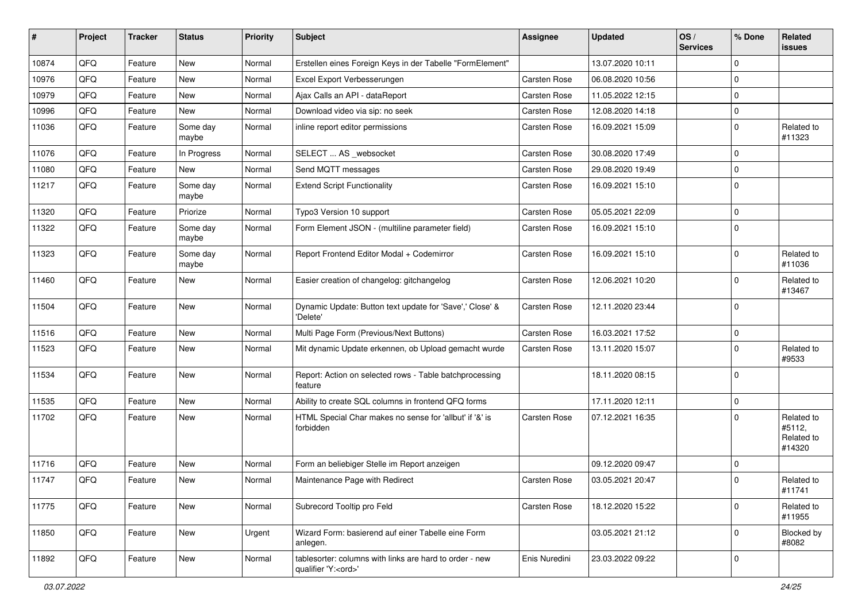| #     | Project | <b>Tracker</b> | <b>Status</b>     | <b>Priority</b> | <b>Subject</b>                                                                        | <b>Assignee</b> | <b>Updated</b>   | OS/<br><b>Services</b> | % Done      | Related<br>issues                            |
|-------|---------|----------------|-------------------|-----------------|---------------------------------------------------------------------------------------|-----------------|------------------|------------------------|-------------|----------------------------------------------|
| 10874 | QFQ     | Feature        | New               | Normal          | Erstellen eines Foreign Keys in der Tabelle "FormElement"                             |                 | 13.07.2020 10:11 |                        | $\Omega$    |                                              |
| 10976 | QFQ     | Feature        | New               | Normal          | Excel Export Verbesserungen                                                           | Carsten Rose    | 06.08.2020 10:56 |                        | $\mathbf 0$ |                                              |
| 10979 | QFQ     | Feature        | New               | Normal          | Ajax Calls an API - dataReport                                                        | Carsten Rose    | 11.05.2022 12:15 |                        | $\Omega$    |                                              |
| 10996 | QFQ     | Feature        | New               | Normal          | Download video via sip: no seek                                                       | Carsten Rose    | 12.08.2020 14:18 |                        | $\Omega$    |                                              |
| 11036 | QFQ     | Feature        | Some day<br>maybe | Normal          | inline report editor permissions                                                      | Carsten Rose    | 16.09.2021 15:09 |                        | $\Omega$    | Related to<br>#11323                         |
| 11076 | QFQ     | Feature        | In Progress       | Normal          | SELECT  AS _websocket                                                                 | Carsten Rose    | 30.08.2020 17:49 |                        | $\Omega$    |                                              |
| 11080 | QFQ     | Feature        | <b>New</b>        | Normal          | Send MQTT messages                                                                    | Carsten Rose    | 29.08.2020 19:49 |                        | $\Omega$    |                                              |
| 11217 | QFQ     | Feature        | Some day<br>maybe | Normal          | <b>Extend Script Functionality</b>                                                    | Carsten Rose    | 16.09.2021 15:10 |                        | $\mathbf 0$ |                                              |
| 11320 | QFQ     | Feature        | Priorize          | Normal          | Typo3 Version 10 support                                                              | Carsten Rose    | 05.05.2021 22:09 |                        | $\Omega$    |                                              |
| 11322 | QFQ     | Feature        | Some day<br>maybe | Normal          | Form Element JSON - (multiline parameter field)                                       | Carsten Rose    | 16.09.2021 15:10 |                        | $\Omega$    |                                              |
| 11323 | QFQ     | Feature        | Some day<br>maybe | Normal          | Report Frontend Editor Modal + Codemirror                                             | Carsten Rose    | 16.09.2021 15:10 |                        | $\Omega$    | Related to<br>#11036                         |
| 11460 | QFQ     | Feature        | New               | Normal          | Easier creation of changelog: gitchangelog                                            | Carsten Rose    | 12.06.2021 10:20 |                        | $\Omega$    | Related to<br>#13467                         |
| 11504 | QFQ     | Feature        | New               | Normal          | Dynamic Update: Button text update for 'Save',' Close' &<br>'Delete'                  | Carsten Rose    | 12.11.2020 23:44 |                        | $\mathbf 0$ |                                              |
| 11516 | QFQ     | Feature        | New               | Normal          | Multi Page Form (Previous/Next Buttons)                                               | Carsten Rose    | 16.03.2021 17:52 |                        | $\mathbf 0$ |                                              |
| 11523 | QFQ     | Feature        | New               | Normal          | Mit dynamic Update erkennen, ob Upload gemacht wurde                                  | Carsten Rose    | 13.11.2020 15:07 |                        | $\Omega$    | Related to<br>#9533                          |
| 11534 | QFQ     | Feature        | New               | Normal          | Report: Action on selected rows - Table batchprocessing<br>feature                    |                 | 18.11.2020 08:15 |                        | $\Omega$    |                                              |
| 11535 | QFQ     | Feature        | New               | Normal          | Ability to create SQL columns in frontend QFQ forms                                   |                 | 17.11.2020 12:11 |                        | $\mathbf 0$ |                                              |
| 11702 | QFQ     | Feature        | New               | Normal          | HTML Special Char makes no sense for 'allbut' if '&' is<br>forbidden                  | Carsten Rose    | 07.12.2021 16:35 |                        | $\Omega$    | Related to<br>#5112,<br>Related to<br>#14320 |
| 11716 | QFQ     | Feature        | New               | Normal          | Form an beliebiger Stelle im Report anzeigen                                          |                 | 09.12.2020 09:47 |                        | $\Omega$    |                                              |
| 11747 | QFQ     | Feature        | New               | Normal          | Maintenance Page with Redirect                                                        | Carsten Rose    | 03.05.2021 20:47 |                        | $\Omega$    | Related to<br>#11741                         |
| 11775 | QFQ     | Feature        | New               | Normal          | Subrecord Tooltip pro Feld                                                            | Carsten Rose    | 18.12.2020 15:22 |                        | $\Omega$    | Related to<br>#11955                         |
| 11850 | QFQ     | Feature        | New               | Urgent          | Wizard Form: basierend auf einer Tabelle eine Form<br>anlegen.                        |                 | 03.05.2021 21:12 |                        | $\Omega$    | Blocked by<br>#8082                          |
| 11892 | QFQ     | Feature        | New               | Normal          | tablesorter: columns with links are hard to order - new<br>qualifier 'Y: <ord>'</ord> | Enis Nuredini   | 23.03.2022 09:22 |                        | $\mathbf 0$ |                                              |